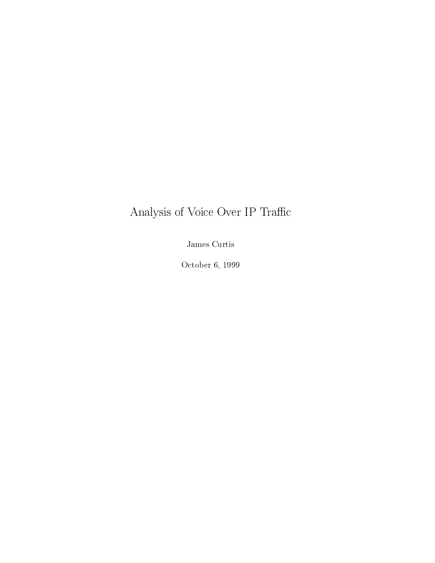# Analysis of Voice Over  $\operatorname{IP}$  Traffic

James Curtis

October 6, 1999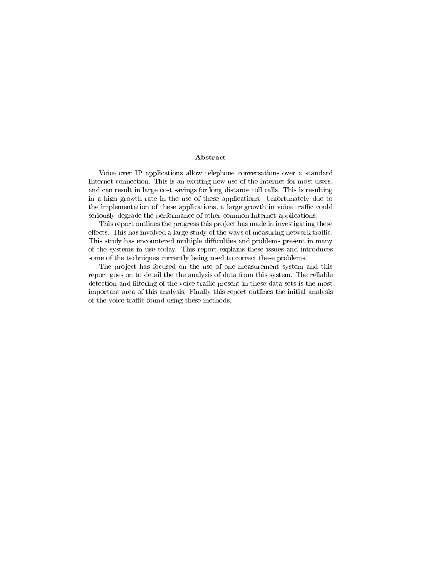### Abstract

Voice over IP applications allow telephone conversations over a standard Internet connection. This is an exciting new use of the Internet for most users, and can result in large cost savings for long distance toll calls. This is resulting in a high growth rate in the use of these applications. Unfortunately due to the implementation of these applications, a large growth in voice traffic could seriously degrade the performance of other common Internet applications.

This report outlines the progress this project has made in investigating these effects. This has involved a large study of the ways of measuring network traffic. This study has encountered multiple difficulties and problems present in many of the systems in use today. This report explains these issues and introduces some of the techniques currently being used to correct these problems.

The project has focused on the use of one measurement system and this report goes on to detail the the analysis of data from this system. The reliable detection and filtering of the voice traffic present in these data sets is the most important area of this analysis. Finally this report outlines the initial analysis of the voice traffic found using these methods.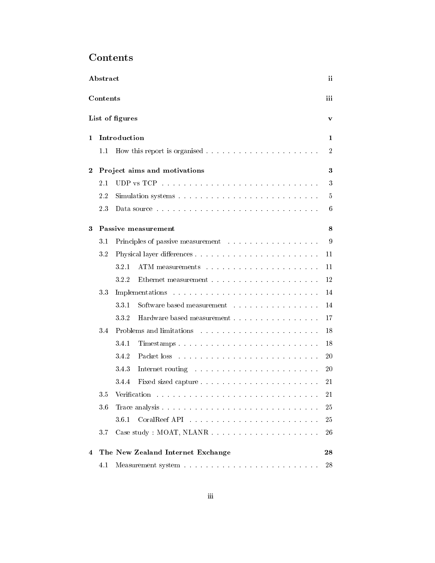| Contents |  |
|----------|--|
|----------|--|

| Abstract<br>ii         |         |                                                                                                                                                                                                                                         |                |  |  |  |
|------------------------|---------|-----------------------------------------------------------------------------------------------------------------------------------------------------------------------------------------------------------------------------------------|----------------|--|--|--|
| iii<br><b>Contents</b> |         |                                                                                                                                                                                                                                         |                |  |  |  |
| List of figures<br>v   |         |                                                                                                                                                                                                                                         |                |  |  |  |
| 1                      |         | Introduction                                                                                                                                                                                                                            | 1              |  |  |  |
|                        | 1.1     |                                                                                                                                                                                                                                         | $\overline{2}$ |  |  |  |
| $\bf{2}$               |         | Project aims and motivations                                                                                                                                                                                                            | 3              |  |  |  |
|                        | $2.1\,$ |                                                                                                                                                                                                                                         | 3              |  |  |  |
|                        | 2.2     |                                                                                                                                                                                                                                         | 5              |  |  |  |
|                        | 2.3     | Data source research research in the contract of the state of the state of the state of the state of the state of the state of the state of the state of the state of the state of the state of the state of the state of the           | 6              |  |  |  |
| 3                      |         | Passive measurement                                                                                                                                                                                                                     | 8              |  |  |  |
|                        | 3.1     |                                                                                                                                                                                                                                         | 9              |  |  |  |
|                        | 3.2     |                                                                                                                                                                                                                                         | 11             |  |  |  |
|                        |         | 321<br>ATM measurements research and containing a state of the state of the state of the state of the state of the state of the state of the state of the state of the state of the state of the state of the state of the state of t   | 11             |  |  |  |
|                        |         | 322                                                                                                                                                                                                                                     | 12             |  |  |  |
|                        | 3.3     |                                                                                                                                                                                                                                         | 14             |  |  |  |
|                        |         | 331<br>Software based measurement                                                                                                                                                                                                       | 14             |  |  |  |
|                        |         | Hardware based measurement<br>332                                                                                                                                                                                                       | 17             |  |  |  |
|                        | 3.4     |                                                                                                                                                                                                                                         | 18             |  |  |  |
|                        |         | 3.4.1<br>Timestamps                                                                                                                                                                                                                     | 18             |  |  |  |
|                        |         | 3.4.2<br>Packet loss residence in the contract of the contract of the contract of the contract of the contract of the contract of the contract of the contract of the contract of the contract of the contract of the contract of the c | 20             |  |  |  |
|                        |         | 343<br>Internet routing resources in the contract of the state of the state of the state of the state of the state of the state of the state of the state of the state of the state of the state of the state of the state of the sta   | 20             |  |  |  |
|                        |         | 34.4                                                                                                                                                                                                                                    | 21             |  |  |  |
|                        |         |                                                                                                                                                                                                                                         | 21             |  |  |  |
|                        | 36      |                                                                                                                                                                                                                                         | 25             |  |  |  |
|                        |         | 3.6.1                                                                                                                                                                                                                                   | 25             |  |  |  |
|                        | 3.7     |                                                                                                                                                                                                                                         | 26             |  |  |  |
| 4                      |         | The New Zealand Internet Exchange                                                                                                                                                                                                       | 28             |  |  |  |
|                        | 4.1     |                                                                                                                                                                                                                                         | 28             |  |  |  |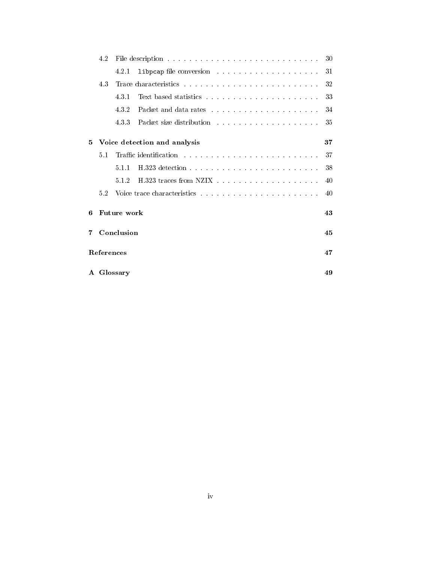|              | 4.2                |            |                                                                                                                                                                                                                                | -30 |  |  |  |  |
|--------------|--------------------|------------|--------------------------------------------------------------------------------------------------------------------------------------------------------------------------------------------------------------------------------|-----|--|--|--|--|
|              |                    | 4.2.1      |                                                                                                                                                                                                                                | -31 |  |  |  |  |
|              | 4.3                |            |                                                                                                                                                                                                                                | 32  |  |  |  |  |
|              |                    | 4.3.1      |                                                                                                                                                                                                                                | -33 |  |  |  |  |
|              |                    | 4.3.2      |                                                                                                                                                                                                                                | 34  |  |  |  |  |
|              |                    | 4.3.3      | Packet size distribution response response response response response response response response response response response response response response response response response response response response response response | -35 |  |  |  |  |
| $5^{\circ}$  |                    |            | Voice detection and analysis                                                                                                                                                                                                   | 37  |  |  |  |  |
|              | 5.1                |            |                                                                                                                                                                                                                                | 37  |  |  |  |  |
|              |                    | 5.1.1      | H 323 detection and the service of the service of the service of the service of the service of the service of the service of the service of the service of the service of the service of the service of the service of the ser | 38  |  |  |  |  |
|              |                    | 5.1.2      |                                                                                                                                                                                                                                | 40  |  |  |  |  |
|              | 5.2                |            |                                                                                                                                                                                                                                | 40  |  |  |  |  |
| 6            | <b>Future work</b> |            |                                                                                                                                                                                                                                |     |  |  |  |  |
| 7            |                    | Conclusion |                                                                                                                                                                                                                                | 45  |  |  |  |  |
|              | References         |            |                                                                                                                                                                                                                                | 47  |  |  |  |  |
| $\mathbf{A}$ |                    | Glossary   |                                                                                                                                                                                                                                | 49  |  |  |  |  |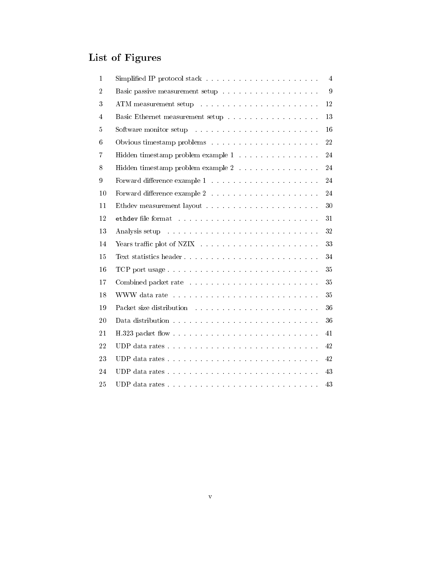# List of Figures

|                                                                                                                                                                                                                                | 4   |
|--------------------------------------------------------------------------------------------------------------------------------------------------------------------------------------------------------------------------------|-----|
|                                                                                                                                                                                                                                | 9   |
|                                                                                                                                                                                                                                | 12  |
| Basic Ethernet measurement setup                                                                                                                                                                                               | 13  |
| Software monitor setup entrance and and all the setup of the setup of the setup of the setup of the setup of the setup of the setup of the setup of the setup of the setup of the setup of the setup of the setup of the setup | 16  |
|                                                                                                                                                                                                                                | 22  |
| Hidden timestamp problem example $1$                                                                                                                                                                                           | 24  |
| Hidden timestamp problem example $2$                                                                                                                                                                                           | 24  |
|                                                                                                                                                                                                                                | 24  |
|                                                                                                                                                                                                                                | 24  |
|                                                                                                                                                                                                                                | -30 |
| ethdev file format research and contained a series and containing the series of the series of the series of the                                                                                                                | 31  |
| Analysis setup received a series of the contract of the setup of the setup of the setup of the setup of the setup of the setup of the setup of the setup of the setup of the setup of the setup of the setup of the setup of t | 32  |
|                                                                                                                                                                                                                                | 33  |
| Text statistics header                                                                                                                                                                                                         | 34  |
| TCP port usage                                                                                                                                                                                                                 | 35  |
|                                                                                                                                                                                                                                | 35  |
|                                                                                                                                                                                                                                | 35  |
| Packet size distribution resources in the contract of the set of the set of the set of the set of the set of the set of the set of the set of the set of the set of the set of the set of the set of the set of the set of the | 36  |
|                                                                                                                                                                                                                                | 36  |
|                                                                                                                                                                                                                                | 41  |
|                                                                                                                                                                                                                                | 42  |
|                                                                                                                                                                                                                                | 42  |
|                                                                                                                                                                                                                                | 43  |
|                                                                                                                                                                                                                                | 43  |
|                                                                                                                                                                                                                                |     |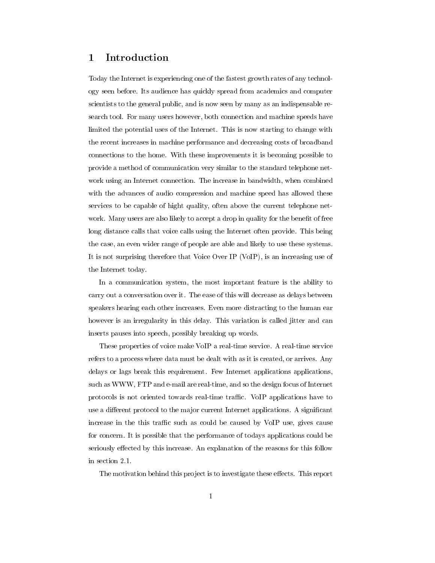## 1 Introduction

Today the Internet is experiencing one of the fastest growth rates of any technology seen before. Its audience has quickly spread from academics and computer scientists to the general public, and is now seen by many as an indispensable research tool. For many users however, both connection and machine speeds have limited the potential uses of the Internet. This is now starting to change with the recent increases in machine performance and decreasing costs of broadband connections to the home. With these improvements it is becoming possible to provide a method of communication very similar to the standard telephone net work using an Internet connection. The increase in bandwidth, when combined with the advances of audio compression and machine speed has allowed these services to be capable of hight quality, often above the current telephone net work. Many users are also likely to accept a drop in quality for the benefit of free long distance calls that voice calls using the Internet often provide. This being the case, an even wider range of people are able and likely to use these systems. It is not surprising therefore that Voice Over IP (VoIP), is an increasing use of the Internet today.

In a communication system, the most important feature is the ability to carry out a conversation over it. The ease of this will decrease as delays between speakers hearing each other increases. Even more distracting to the human ear however is an irregularity in this delay. This variation is called jitter and can inserts pauses into speech, possibly breaking up words.

These properties of voice make VoIP a real-time service. A real-time service refers to a process where data must be dealt with as it is created, or arrives. Any delays or lags break this requirement. Few Internet applications applications, such as WWW, FTP and e-mail are real-time, and so the design focus of Internet protocols is not oriented towards real-time trac. VoIP applications have to use a different protocol to the major current Internet applications. A significant increase in the this traffic such as could be caused by VoIP use, gives cause for concern. It is possible that the performance of todays applications could be seriously effected by this increase. An explanation of the reasons for this follow in section 2.1.

The motivation behind this project is to investigate these effects. This report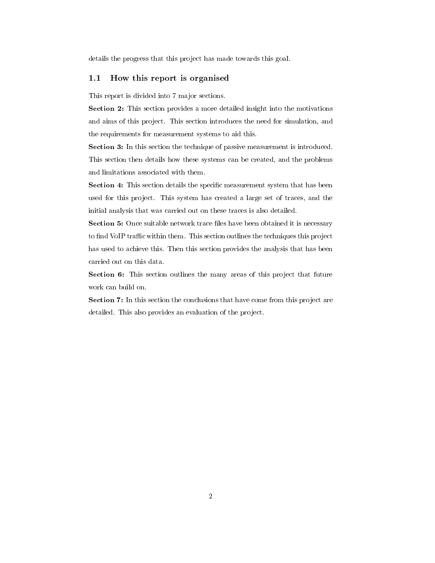details the progress that this project has made towards this goal.

### 1.1 How this report is organised

This report is divided into 7 major sections.

Section 2: This section provides a more detailed insight into the motivations and aims of this project. This section introduces the need for simulation, and the requirements for measurement systems to aid this.

Section 3: In this section the technique of passive measurement is introduced. This section then details how these systems can be created, and the problems and limitations associated with them.

**Section 4:** This section details the specific measurement system that has been used for this project. This system has created a large set of traces, and the initial analysis that was carried out on these traces is also detailed.

Section 5: Once suitable network trace files have been obtained it is necessary to find VoIP traffic within them. This section outlines the techniques this project has used to achieve this. Then this section provides the analysis that has been carried out on this data.

Section 6: This section outlines the many areas of this project that future work can build on.

Section 7: In this section the conclusions that have come from this project are detailed. This also provides an evaluation of the project.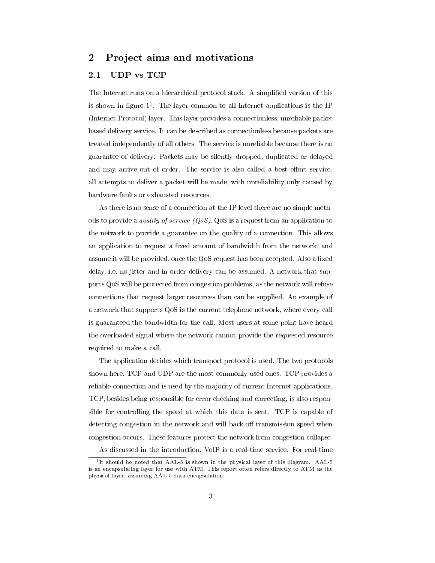#### $\overline{2}$ Project aims and motivations

#### **UDP** vs TCP 2.1

The Internet runs on a hierarchical protocol stack. A simplified version of this is shown in ligure 11. The layer common to all internet applications is the IP (Internet Protocol) layer. This layer provides a connectionless, unreliable packet based delivery service. It can be described as connectionless because packets are treated independently of all others. The service is unreliable because there is no guarantee of delivery. Packets may be silently dropped, duplicated or delayed and may arrive out of order. The service is also called a best effort service, all attempts to deliver a packet will be made, with unreliability only caused by hardware faults or exhausted resources.

As there is no sense of a connection at the IP level there are no simple methods to provide a quality of service  $(QoS)$ . QoS is a request from an application to the network to provide a guarantee on the quality of a connection. This allows an application to request a fixed amount of bandwidth from the network, and assume it will be provided, once the QoS request has been accepted. Also a fixed delay, i.e. no jitter and in order delivery can be assumed. A network that supports QoS will be protected from congestion problems, as the network will refuse connections that request larger resources than can be supplied. An example of a network that supports QoS is the current telephone network, where every call is guaranteed the bandwidth for the call. Most users at some point have heard the overloaded signal where the network cannot provide the requested resource required to make a call.

The application decides which transport protocol is used. The two protocols shown here, TCP and UDP are the most commonly used ones. TCP provides a reliable connection and is used by the majority of current Internet applications. TCP, besides being responsible for error checking and correcting, is also responsible for controlling the speed at which this data is sent. TCP is capable of detecting congestion in the network and will back off transmission speed when congestion occurs. These features protect the network from congestion collapse. As discussed in the introduction, VoIP is a real-time service. For real-time

<sup>1</sup> It should be noted that AAL-5 is shown in the physical layer of this diagram. AAL-5 is an encapsulating layer for use with ATM. This report often refers directly to ATM as the physical layer, assuming AAL-5 data encapsulation.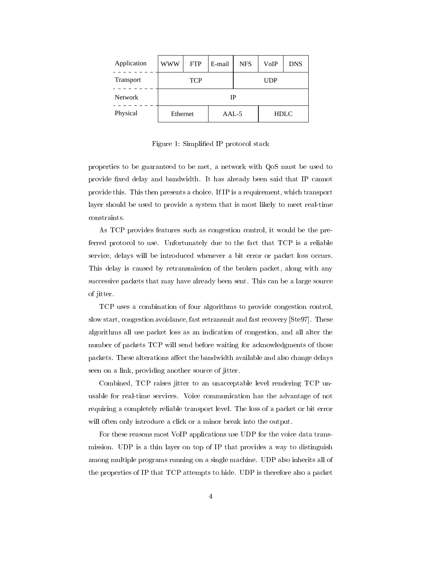| Application      | <b>WWW</b>               | <b>FTP</b> | E-mail  | <b>NFS</b> | VoIP        | <b>DNS</b> |
|------------------|--------------------------|------------|---------|------------|-------------|------------|
| <b>Transport</b> | <b>TCP</b><br><b>UDP</b> |            |         |            |             |            |
| <b>Network</b>   | IP                       |            |         |            |             |            |
| Physical         | Ethernet                 |            | $AAL-5$ |            | <b>HDLC</b> |            |

Figure 1: Simplied IP protocol stack

properties to be guaranteed to be met, a network with QoS must be used to provide fixed delay and bandwidth. It has already been said that IP cannot provide this. This then presents a choice. If IP is a requirement, which transport layer should be used to provide a system that is most likely to meet real-time constraints.

As TCP provides features such as congestion control, it would be the preferred protocol to use. Unfortunately due to the fact that TCP is a reliable service, delays will be introduced whenever a bit error or packet loss occurs. This delay is caused by retransmission of the broken packet, along with any successive packets that may have already been sent. This can be a large source of jitter.

TCP uses a combination of four algorithms to provide congestion control, slow start, congestion avoidance, fast retransmit and fast recovery [Ste97]. These algorithms all use packet loss as an indication of congestion, and all alter the number of packets TCP will send before waiting for acknowledgments of those packets. These alterations affect the bandwidth available and also change delays seen on a link, providing another source of jitter.

Combined, TCP raises jitter to an unacceptable level rendering TCP unusable for real-time services. Voice communication has the advantage of not requiring a completely reliable transport level. The loss of a packet or bit error will often only introduce a click or a minor break into the output.

For these reasons most VoIP applications use UDP for the voice data transmission. UDP is a thin layer on top of IP that provides a way to distinguish among multiple programs running on a single machine. UDP also inherits all of the properties of IP that TCP attempts to hide. UDP is therefore also a packet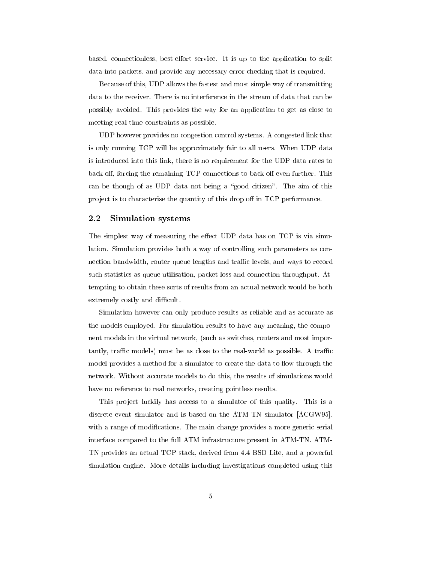based, connectionless, best-effort service. It is up to the application to split data into packets, and provide any necessary error checking that is required.

Because of this, UDP allows the fastest and most simple way of transmitting data to the receiver. There is no interference in the stream of data that can be possibly avoided. This provides the way for an application to get as close to meeting real-time constraints as possible.

UDP however provides no congestion control systems. A congested link that is only running TCP will be approximately fair to all users. When UDP data is introduced into this link, there is no requirement for the UDP data rates to back off, forcing the remaining TCP connections to back off even further. This can be though of as UDP data not being a "good citizen". The aim of this project is to characterise the quantity of this drop off in TCP performance.

### 2.2 Simulation systems

The simplest way of measuring the effect UDP data has on TCP is via simulation. Simulation provides both a way of controlling such parameters as connection bandwidth, router queue lengths and traffic levels, and ways to record such statistics as queue utilisation, packet loss and connection throughput. Attempting to obtain these sorts of results from an actual network would be both extremely costly and difficult.

Simulation however can only produce results as reliable and as accurate as the models employed. For simulation results to have any meaning, the component models in the virtual network, (such as switches, routers and most importantly, traffic models) must be as close to the real-world as possible. A traffic model provides a method for a simulator to create the data to flow through the network. Without accurate models to do this, the results of simulations would have no reference to real networks, creating pointless results.

This project luckily has access to a simulator of this quality. This is a discrete event simulator and isbased on the ATM-TN simulator [ACGW95], with a range of modifications. The main change provides a more generic serial interface compared to the full ATM infrastructure present in ATM-TN. ATM-TN provides an actual TCP stack, derived from 4.4 BSD Lite, and a powerful simulation engine. More details including investigations completed using this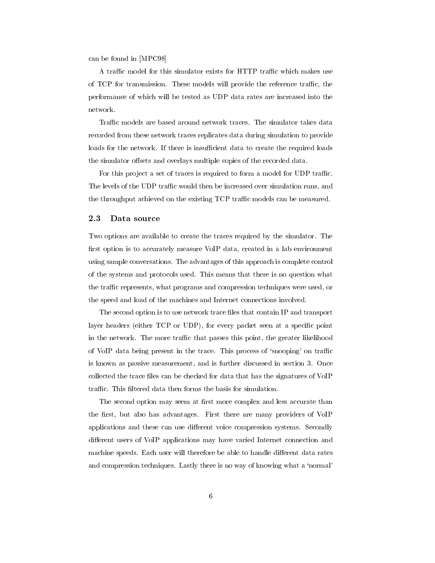can be found in [MPC98]

A traffic model for this simulator exists for HTTP traffic which makes use of TCP for transmission. These models will provide the reference traffic, the performance of which will be tested as UDP data rates are increased into the network.

Traffic models are based around network traces. The simulator takes data recorded from these network traces replicates data during simulation to provide loads for the network. If there is insufficient data to create the required loads the simulator offsets and overlays multiple copies of the recorded data.

For this project a set of traces is required to form a model for UDP traffic. The levels of the UDP traffic would then be increased over simulation runs, and the throughput achieved on the existing TCP traffic models can be measured.

### 2.3 Data source

Two options are available to create the traces required by the simulator. The first option is to accurately measure VoIP data, created in a lab environment using sample conversations. The advantages of this approach is complete control of the systems and protocols used. This means that there is no question what the traffic represents, what programs and compression techniques were used, or the speed and load of the machines and Internet connections involved.

The second option is to use network trace files that contain IP and transport layer headers (either TCP or UDP), for every packet seen at a specific point in the network. The more traffic that passes this point, the greater likelihood of VoIP data being present in the trace. This process of 'snooping' on traffic is known as passive measurement, and is further discussed in section 3. Once collected the trace files can be checked for data that has the signatures of VoIP traffic. This filtered data then forms the basis for simulation.

The second option may seem at first more complex and less accurate than the first, but also has advantages. First there are many providers of VoIP applications and these can use different voice compression systems. Secondly different users of VoIP applications may have varied Internet connection and machine speeds. Each user will therefore be able to handle different data rates and compression techniques. Lastly there is no way of knowing what a `normal'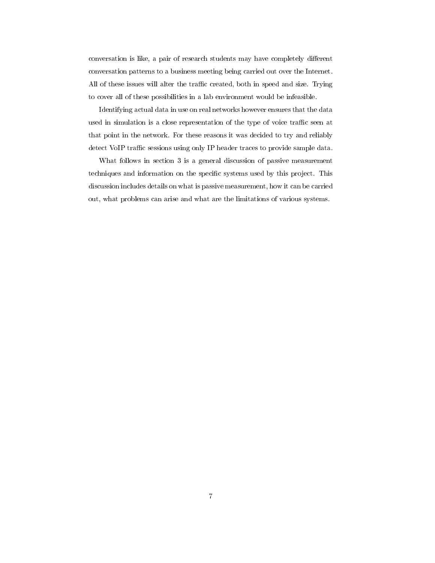conversation is like, a pair of research students may have completely different conversation patterns to a business meeting being carried out over the Internet. All of these issues will alter the traffic created, both in speed and size. Trying to cover all of these possibilities in a lab environment would be infeasible.

Identifying actual data in use on real networks however ensures that the data used in simulation is a close representation of the type of voice traffic seen at that point in the network. For these reasons it was decided to try and reliably detect VoIP traffic sessions using only IP header traces to provide sample data.

What follows in section 3 is a general discussion of passive measurement techniques and information on the specific systems used by this project. This discussion includes details on what is passive measurement, how it can be carried out, what problems can arise and what are the limitations of various systems.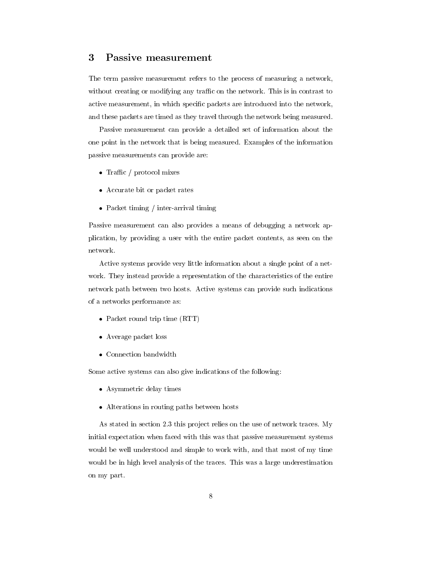#### 3 Passive measurement

The term passive measurement refers to the process of measuring a network, without creating or modifying any traffic on the network. This is in contrast to active measurement, in which specic packets are introduced into the network, and these packets are timed as they travel through the network being measured.

Passive measurement can provide a detailed set of information about the one point in the network that is being measured. Examples of the information passive measurements can provide are:

- Traffic / protocol mixes
- Accurate bit or packet rates
- Packet timing / inter-arrival timing

Passive measurement can also provides a means of debugging a network application, by providing a user with the entire packet contents, as seen on the network.

Active systems provide very little information about a single point of a net work. They instead provide a representation of the characteristics of the entire network path between two hosts. Active systems can provide such indications of a networks performance as:

- Packet round trip time (RTT)
- Average packet loss
- Connection bandwidth

Some active systems can also give indications of the following:

- Asymmetric delay times
- Alterations in routing paths between hosts

As stated in section 2.3 this project relies on the use of network traces. My initial expectation when faced with this was that passive measurement systems would be well understood and simple to work with, and that most of my time would be in high level analysis of the traces. This was a large underestimation on my part.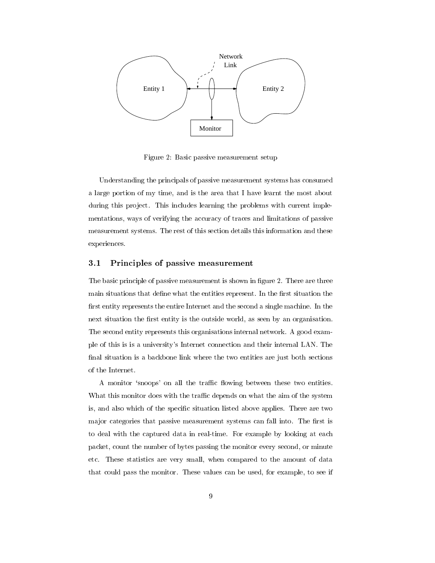

Figure 2: Basic passive measurement setup

Understanding the principals of passive measurement systems has consumed a large portion of my time, and is the area that I have learnt the most about during this project. This includes learning the problems with current implementations, ways of verifying the accuracy of traces and limitations of passive measurement systems. The rest of this section details this information and these experiences.

### 3.1 Principles of passive measurement

The basic principle of passive measurement is shown in figure 2. There are three main situations that define what the entities represent. In the first situation the first entity represents the entire Internet and the second a single machine. In the next situation the first entity is the outside world, as seen by an organisation. The second entity represents this organisations internal network. A good example of this is is a university's Internet connection and their internal LAN. The final situation is a backbone link where the two entities are just both sections of the Internet.

A monitor 'snoops' on all the traffic flowing between these two entities. What this monitor does with the traffic depends on what the aim of the system is, and also which of the specific situation listed above applies. There are two major categories that passive measurement systems can fall into. The first is to deal with the captured data in real-time. For example by looking at each packet, count the number of bytes passing the monitor every second, or minute etc. These statistics are very small, when compared to the amount of data that could pass the monitor. These values can be used, for example, to see if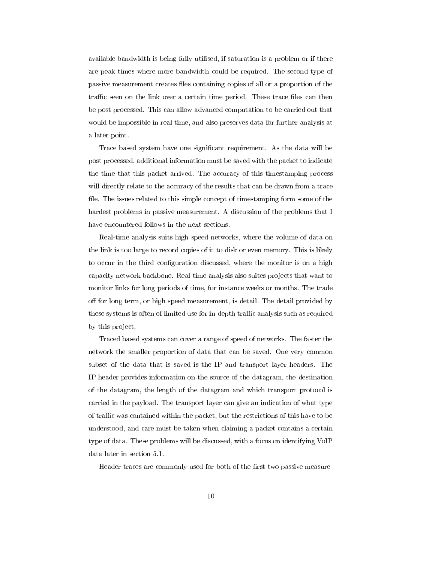available bandwidth is being fully utilised, if saturation is a problem or if there are peak times where more bandwidth could be required. The second type of passive measurement creates les containing copies of all or a proportion of the traffic seen on the link over a certain time period. These trace files can then be post processed. This can allow advanced computation to be carried out that would be impossible in real-time, and also preserves data for further analysis at a later point.

Trace based system have one signicant requirement. As the data will be post processed, additional information must be saved with the packet to indicate the time that this packet arrived. The accuracy of this timestamping process will directly relate to the accuracy of the results that can be drawn from a trace file. The issues related to this simple concept of timestamping form some of the hardest problems in passive measurement. A discussion of the problems that I have encountered follows in the next sections.

Real-time analysis suits high speed networks, where the volume of data on the link is too large to record copies of it to disk or even memory. This is likely to occur in the third configuration discussed, where the monitor is on a high capacity network backbone. Real-time analysis also suites pro jects that want to monitor links for long periods of time, for instance weeks or months. The trade off for long term, or high speed measurement, is detail. The detail provided by these systems is often of limited use for in-depth traffic analysis such as required by this project.

Traced based systems can cover a range of speed of networks. The faster the network the smaller proportion of data that can be saved. One very common subset of the data that is saved is the IP and transport layer headers. The IP header provides information on the source of the datagram, the destination of the datagram, the length of the datagram and which transport protocol is carried in the payload. The transport layer can give an indication of what type of traffic was contained within the packet, but the restrictions of this have to be understood, and care must be taken when claiming a packet contains a certain type of data. These problems will be discussed, with a focus on identifying VoIP data later in section 5.1.

Header traces are commonly used for both of the first two passive measure-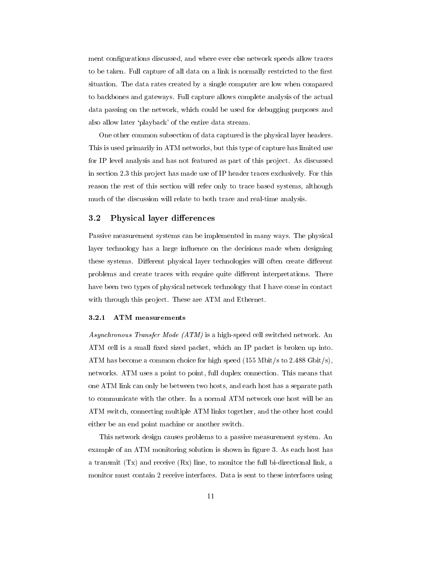ment configurations discussed, and where ever else network speeds allow traces to be taken. Full capture of all data on a link is normally restricted to the first situation. The data rates created by a single computer are low when compared to backbones and gateways. Full capture allows complete analysis of the actual data passing on the network, which could be used for debugging purposes and also allow later `playback' of the entire data stream.

One other common subsection of data captured is the physical layer headers. This is used primarily in ATM networks, but this type of capture has limited use for IP level analysis and has not featured as part of this project. As discussed in section 2.3 this project has made use of IP header traces exclusively. For this reason the rest of this section will refer only to trace based systems, although much of the discussion will relate to both trace and real-time analysis.

#### $3.2$ Physical layer differences

Passive measurement systems can be implemented in many ways. The physical layer technology has a large influence on the decisions made when designing these systems. Different physical layer technologies will often create different problems and create traces with require quite different interpretations. There have been two types of physical network technology that I have come in contact with through this project. These are ATM and Ethernet.

#### $3.2.1$ ATM measurements

Asynchronous Transfer Mode (ATM) is a high-speed cell switched network. An ATM cell is a small fixed sized packet, which an IP packet is broken up into. ATM has become a common choice for high speed (155 Mbit/s to 2.488 Gbit/s), networks. ATM uses a point to point, full duplex connection. This means that one ATM link can only be between two hosts, and each host has a separate path to communicate with the other. In a normal ATM network one host will be an ATM switch, connecting multiple ATM links together, and the other host could either be an end point machine or another switch.

This network design causes problems to a passive measurement system. An example of an ATM monitoring solution is shown in figure 3. As each host has a transmit (Tx) and receive (Rx) line, to monitor the full bi-directional link, a monitor must contain 2 receive interfaces. Data is sent to these interfaces using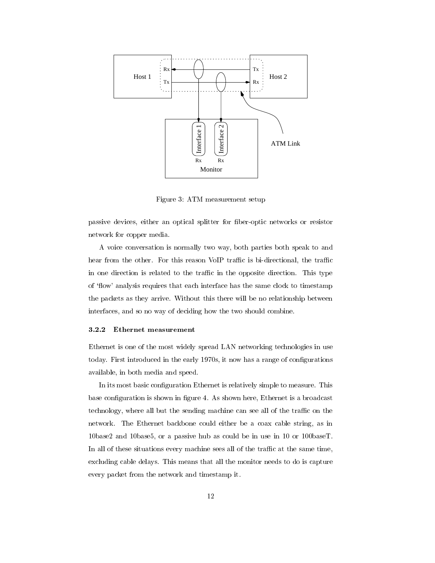

Figure 3: ATM measurement setup

passive devices, either an optical splitter for fiber-optic networks or resistor network for copper media.

A voice conversation is normally two way, both parties both speak to and hear from the other. For this reason VoIP traffic is bi-directional, the traffic in one direction is related to the traffic in the opposite direction. This type of 'flow' analysis requires that each interface has the same clock to timestamp the packets as they arrive. Without this there will be no relationship between interfaces, and so no way of deciding how the two should combine.

#### 3.2.2 Ethernet measurement

Ethernet is one of the most widely spread LAN networking technologies in use today. First introduced in the early 1970s, it now has a range of configurations available, in both media and speed.

In its most basic configuration Ethernet is relatively simple to measure. This base configuration is shown in figure 4. As shown here, Ethernet is a broadcast technology, where all but the sending machine can see all of the traffic on the network. The Ethernet backbone could either be a coax cable string, as in 10base2 and 10base5, or a passive hub as could be in use in 10 or 100baseT. In all of these situations every machine sees all of the traffic at the same time, excluding cable delays. This means that all the monitor needs to do is capture every packet from the network and timestamp it.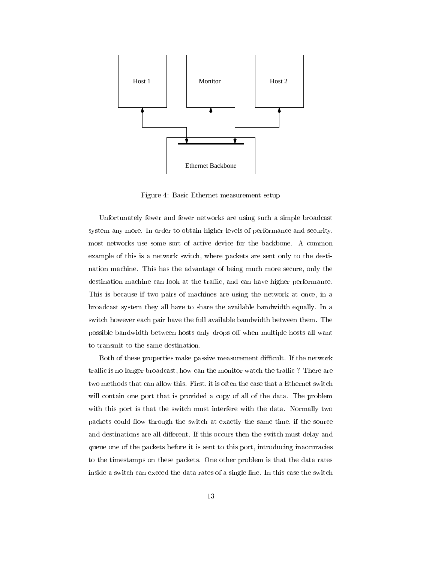

Figure 4: Basic Ethernet measurement setup

Unfortunately fewer and fewer networks are using such a simple broadcast system any more. In order to obtain higher levels of performance and security, most networks use some sort of active device for the backbone. A common example of this is a network switch, where packets are sent only to the destination machine. This has the advantage of being much more secure, only the destination machine can look at the traffic, and can have higher performance. This is because if two pairs of machines are using the network at once, in a broadcast system they all have to share the available bandwidth equally. In a switch however each pair have the full available bandwidth between them. The possible bandwidth between hosts only drops off when multiple hosts all want

Both of these properties make passive measurement difficult. If the network traffic is no longer broadcast, how can the monitor watch the traffic? There are two methods that can allow this. First, it is often the case that a Ethernet switch will contain one port that is provided a copy of all of the data. The problem with this port is that the switch must interfere with the data. Normally two packets could flow through the switch at exactly the same time, if the source and destinations are all different. If this occurs then the switch must delay and queue one of the packets before it is sent to this port, introducing inaccuracies to the timestamps on these packets. One other problem is that the data rates inside a switch can exceed the data rates of a single line. In this case the switch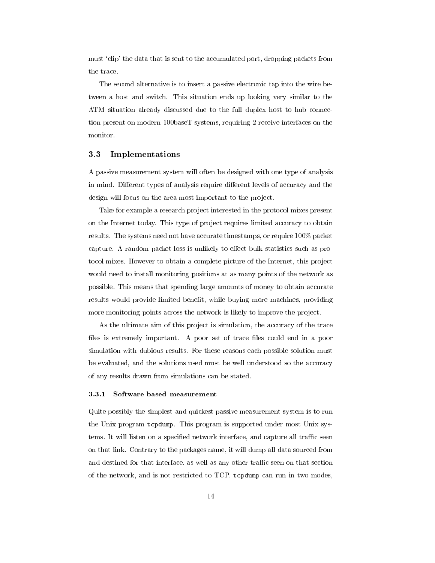must `clip' the data that is sent to the accumulated port, dropping packets from the trace.

The second alternative is to insert a passive electronic tap into the wire between a host and switch. This situation ends up looking very similar to the ATM situation already discussed due to the full duplex host to hub connection present on modern 100baseT systems, requiring 2 receive interfaces on the monitor.

### 3.3 Implementations

A passive measurement system will often be designed with one type of analysis in mind. Different types of analysis require different levels of accuracy and the design will focus on the area most important to the project.

Take for example a research project interested in the protocol mixes present on the Internet today. This type of project requires limited accuracy to obtain results. The systems need not have accurate timestamps, or require 100% packet capture. A random packet loss is unlikely to effect bulk statistics such as protocol mixes. However to obtain a complete picture of the Internet, this project would need to install monitoring positions at as many points of the network as possible. This means that spending large amounts of money to obtain accurate results would provide limited benefit, while buying more machines, providing more monitoring points across the network is likely to improve the project.

As the ultimate aim of this project is simulation, the accuracy of the trace files is extremely important. A poor set of trace files could end in a poor simulation with dubious results. For these reasons each possible solution must be evaluated, and the solutions used must be well understood so the accuracy of any results drawn from simulations can be stated.

### 3.3.1 Software based measurement

Quite possibly the simplest and quickest passive measurement system is to run the Unix program tcpdump. This program is supported under most Unix systems. It will listen on a specified network interface, and capture all traffic seen on that link. Contrary to the packages name, it will dump all data sourced from and destined for that interface, as well as any other traffic seen on that section of the network, and is not restricted to TCP. tcpdump can run in two modes,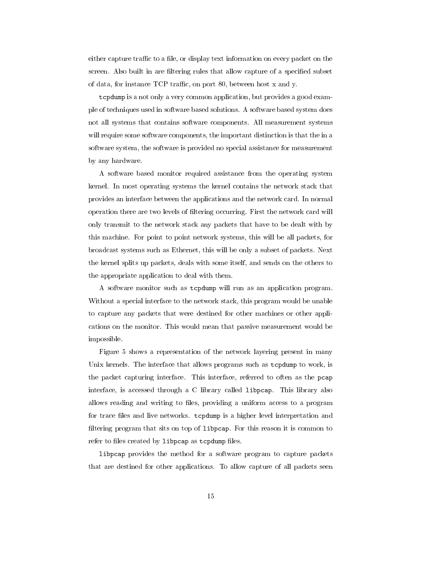either capture traffic to a file, or display text information on every packet on the screen. Also built in are filtering rules that allow capture of a specified subset of data, for instance  $TCP$  traffic, on port 80, between host x and y.

tcpdump is a not only a very common application, but provides a good example of techniques used in software based solutions. A software based system does not all systems that contains software components. All measurement systems will require some software components, the important distinction is that the in a software system, the software is provided no special assistance for measurement by any hardware.

A software based monitor required assistance from the operating system kernel. In most operating systems the kernel contains the network stack that provides an interface between the applications and the network card. In normal operation there are two levels of ltering occurring. First the network card will only transmit to the network stack any packets that have to be dealt with by this machine. For point to point network systems, this will be all packets, for broadcast systems such as Ethernet, this will be only a subset of packets. Next the kernel splits up packets, deals with some itself, and sends on the others to the appropriate application to deal with them.

A software monitor such as tcpdump will run as an application program. Without a special interface to the network stack, this program would be unable to capture any packets that were destined for other machines or other applications on the monitor. This would mean that passive measurement would be impossible.

Figure 5 shows a representation of the network layering present in many Unix kernels. The interface that allows programs such as tcpdump to work, is the packet capturing interface. This interface, referred to often as the pcap interface, is accessed through a C library called libpcap. This library also allows reading and writing to files, providing a uniform access to a program for trace files and live networks. tcpdump is a higher level interpretation and filtering program that sits on top of libpcap. For this reason it is common to refer to files created by libpcap as tcpdump files.

libpcap provides the method for a software program to capture packets that are destined for other applications. To allow capture of all packets seen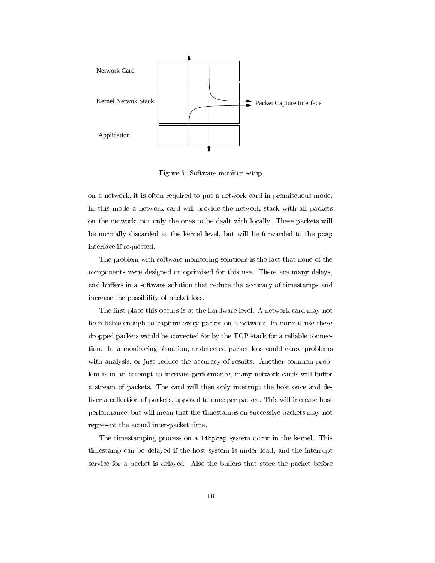

Figure 5: Software monitor setup

on a network, it is often required to put a network card in promiscuous mode. In this mode a network card will provide the network stack with all packets on the network, not only the ones to be dealt with locally. These packets will be normally discarded at the kernel level, but will be forwarded to the pcap interface if requested.

The problem with software monitoring solutions is the fact that none of the components were designed or optimised for this use. There are many delays, and buffers in a software solution that reduce the accuracy of timestamps and increase the possibility of packet loss.

The first place this occurs is at the hardware level. A network card may not be reliable enough to capture every packet on a network. In normal use these dropped packets would be corrected for by the TCP stack for a reliable connection. In a monitoring situation, undetected packet loss could cause problems with analysis, or just reduce the accuracy of results. Another common problem is in an attempt to increase performance, many network cards will buffer a stream of packets. The card will then only interrupt the host once and deliver a collection of packets, opposed to once per packet. This will increase host performance, but will mean that the timestamps on successive packets may not represent the actual inter-packet time.

The timestamping process on a libpcap system occur in the kernel. This timestamp can be delayed if the host system is under load, and the interrupt service for a packet is delayed. Also the buffers that store the packet before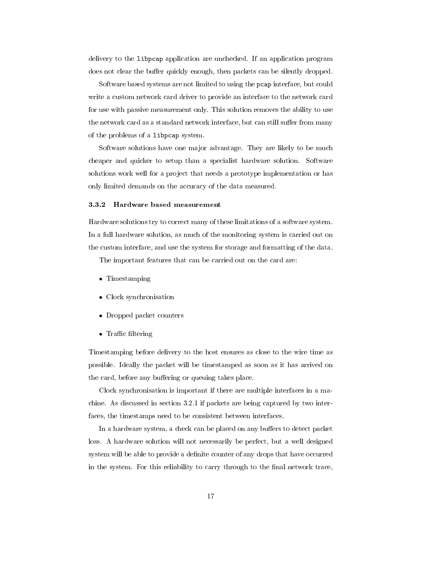delivery to the libpcap application are unchecked. If an application program does not clear the buffer quickly enough, then packets can be silently dropped.

Software based systems are not limited to using the pcap interface, but could write a custom network card driver to provide an interface to the network card for use with passive measurement only. This solution removes the ability to use the network card as a standard network interface, but can still suffer from many of the problems of a libpcap system.

Software solutions have one major advantage. They are likely to be much cheaper and quicker to setup than a specialist hardware solution. Software solutions work well for a project that needs a prototype implementation or has only limited demands on the accuracy of the data measured.

#### 3.3.2 Hardware based measurement

Hardware solutions try to correct many of these limitations of a software system. In a full hardware solution, as much of the monitoring system is carried out on the custom interface, and use the system for storage and formatting of the data.

The important features that can be carried out on the card are:

- Timestamping
- Clock synchronisation
- Dropped packet counters
- $\bullet$  Traffic filtering

Timestamping before delivery to the host ensures as close to the wire time as possible. Ideally the packet will be timestamped as soon as it has arrived on the card, before any buffering or queuing takes place.

Clock synchronisation is important if there are multiple interfaces in a machine. As discussed in section 3.2.1 if packets are being captured by two interfaces, the timestamps need to be consistent between interfaces.

In a hardware system, a check can be placed on any buffers to detect packet loss. A hardware solution will not necessarily be perfect, but a well designed system will be able to provide a definite counter of any drops that have occurred in the system. For this reliability to carry through to the final network trace,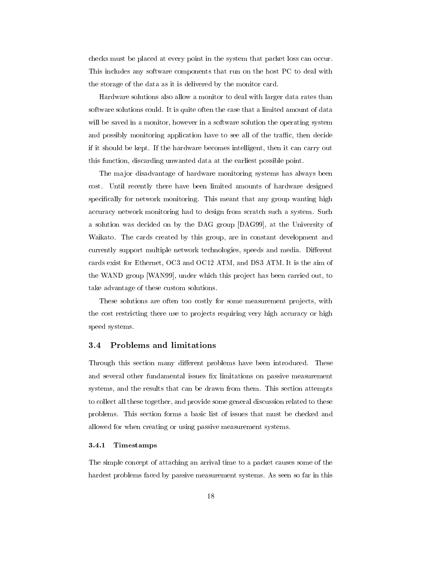checks must be placed at every point in the system that packet loss can occur. This includes any software components that run on the host PC to deal with the storage of the data as it is delivered by the monitor card.

Hardware solutions also allow a monitor to deal with larger data rates than software solutions could. It is quite often the case that a limited amount of data will be saved in a monitor, however in a software solution the operating system and possibly monitoring application have to see all of the traffic, then decide if it should be kept. If the hardware becomes intelligent, then it can carry out this function, discarding unwanted data at the earliest possible point.

The major disadvantage of hardware monitoring systems has always been cost. Until recently there have been limited amounts of hardware designed specically for network monitoring. This meant that any group wanting high accuracy network monitoring had to design from scratch such a system. Such a solution was decided on by the DAG group [DAG99], at the University of Waikato. The cards created by this group, are in constant development and currently support multiple network technologies, speeds and media. Different cards exist for Ethernet, OC3 and OC12 ATM, and DS3 ATM. It is the aim of the WAND group [WAN99], under which this project has been carried out, to take advantage of these custom solutions.

These solutions are often too costly for some measurement projects, with the cost restricting there use to projects requiring very high accuracy or high speed systems.

#### $3.4$ 3.4 Problems and limitations

Through this section many different problems have been introduced. These and several other fundamental issues fix limitations on passive measurement systems, and the results that can be drawn from them. This section attempts to collect all these together, and provide some general discussion related to these problems. This section forms a basic list of issues that must be checked and allowed for when creating or using passive measurement systems.

#### 3.4.1 3.4.1 Timestamps

The simple concept of attaching an arrival time to a packet causes some of the hardest problems faced by passive measurement systems. As seen so far in this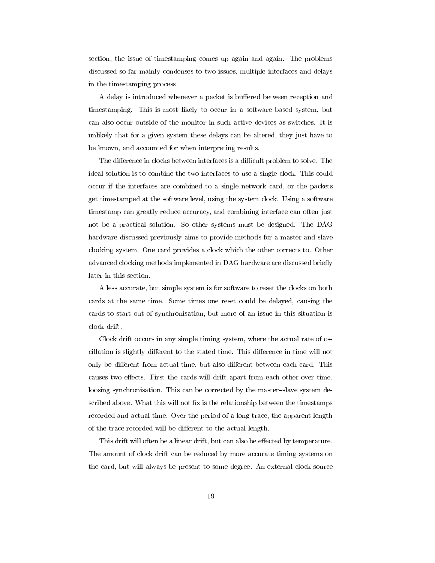section, the issue of timestamping comes up again and again. The problems discussed so far mainly condenses to two issues, multiple interfaces and delays in the timestamping process.

A delay is introduced whenever a packet is buffered between reception and timestamping. This is most likely to occur in a software based system, but can also occur outside of the monitor in such active devices as switches. It is unlikely that for a given system these delays can be altered, they just have to be known, and accounted for when interpreting results.

The difference in clocks between interfaces is a difficult problem to solve. The ideal solution is to combine the two interfaces to use a single clock. This could occur if the interfaces are combined to a single network card, or the packets get timestamped at the software level, using the system clock. Using a software timestamp can greatly reduce accuracy, and combining interface can often just not be a practical solution. So other systems must be designed. The DAG hardware discussed previously aims to provide methods for a master and slave clocking system. One card provides a clock which the other corrects to. Other advanced clocking methods implemented in DAG hardware are discussed briefly later in this section.

A less accurate, but simple system is for software to reset the clocks on both cards at the same time. Some times one reset could be delayed, causing the cards to start out of synchronisation, but more of an issue in this situation is clock drift.

Clock drift occurs in any simple timing system, where the actual rate of oscillation is slightly different to the stated time. This difference in time will not only be different from actual time, but also different between each card. This causes two effects. First the cards will drift apart from each other over time, loosing synchronisation. This can be corrected by the master-slave system described above. What this will not fix is the relationship between the timestamps recorded and actual time. Over the period of a long trace, the apparent length of the trace recorded will be different to the actual length.

This drift will often be a linear drift, but can also be effected by temperature. The amount of clock drift can be reduced by more accurate timing systems on the card, but will always be present to some degree. An external clock source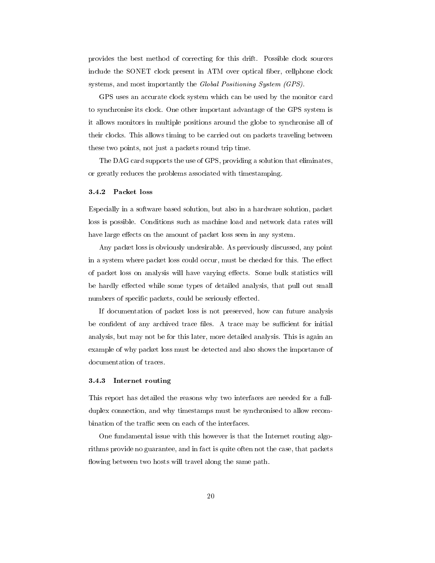provides the best method of correcting for this drift. Possible clock sources include the SONET clock present in ATM over optical fiber, cellphone clock systems, and most importantly the Global Positioning System (GPS).

GPS uses an accurate clock system which can be used by the monitor card to synchronise its clock. One other important advantage of the GPS system is it allows monitors in multiple positions around the globe to synchronise all of their clocks. This allows timing to be carried out on packets traveling between these two points, not just a packets round trip time.

The DAG card supports the use of GPS, providing a solution that eliminates, or greatly reduces the problems associated with timestamping.

### 3.4.2 Packet loss

Especially in a software based solution, but also in a hardware solution, packet loss is possible. Conditions such as machine load and network data rates will have large effects on the amount of packet loss seen in any system.

Any packet loss is obviously undesirable. As previously discussed, any point in a system where packet loss could occur, must be checked for this. The effect of packet loss on analysis will have varying effects. Some bulk statistics will be hardly effected while some types of detailed analysis, that pull out small numbers of specific packets, could be seriously effected.

If documentation of packet loss is not preserved, how can future analysis be confident of any archived trace files. A trace may be sufficient for initial analysis, but may not be for this later, more detailed analysis. This is again an example of why packet loss must be detected and also shows the importance of documentation of traces.

#### 3.4.3 Internet routing

This report has detailed the reasons why two interfaces are needed for a fullduplex connection, and why timestamps must be synchronised to allow recombination of the traffic seen on each of the interfaces.

One fundamental issue with this however is that the Internet routing algorithms provide no guarantee, and in fact is quite often not the case, that packets flowing between two hosts will travel along the same path.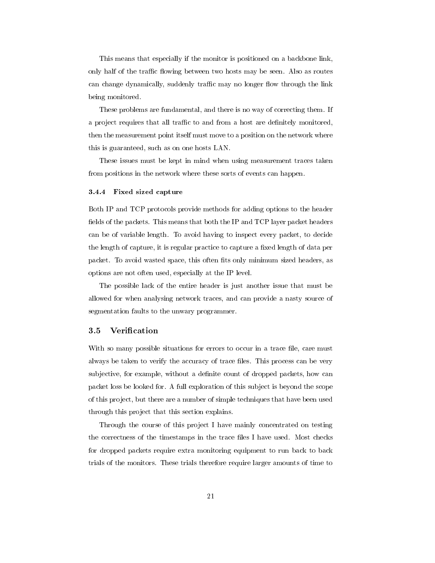This means that especially if the monitor is positioned on a backbone link, only half of the traffic flowing between two hosts may be seen. Also as routes can change dynamically, suddenly traffic may no longer flow through the link being monitored.

These problems are fundamental, and there is no way of correcting them. If a project requires that all traffic to and from a host are definitely monitored, then the measurement point itself must move to a position on the network where this is guaranteed, such as on one hosts LAN.

These issues must be kept in mind when using measurement traces taken from positions in the network where these sorts of events can happen.

### 3.4.4 Fixed sized capture

Both IP and TCP protocols provide methods for adding options to the header fields of the packets. This means that both the IP and TCP layer packet headers can be of variable length. To avoid having to inspect every packet, to decide the length of capture, it is regular practice to capture a fixed length of data per packet. To avoid wasted space, this often fits only minimum sized headers, as options are not often used, especially at the IP level.

The possible lack of the entire header is just another issue that must be allowed for when analysing network traces, and can provide a nasty source of segmentation faults to the unwary programmer.

#### $3.5$ **Verification**

With so many possible situations for errors to occur in a trace file, care must always be taken to verify the accuracy of trace files. This process can be very subjective, for example, without a definite count of dropped packets, how can packet loss be looked for. A full exploration of this sub ject is beyond the scope of this pro ject, but there are a number of simple techniques that have been used through this project that this section explains.

Through the course of this project I have mainly concentrated on testing the correctness of the timestamps in the trace files I have used. Most checks for dropped packets require extra monitoring equipment to run back to back trials of the monitors. These trials therefore require larger amounts of time to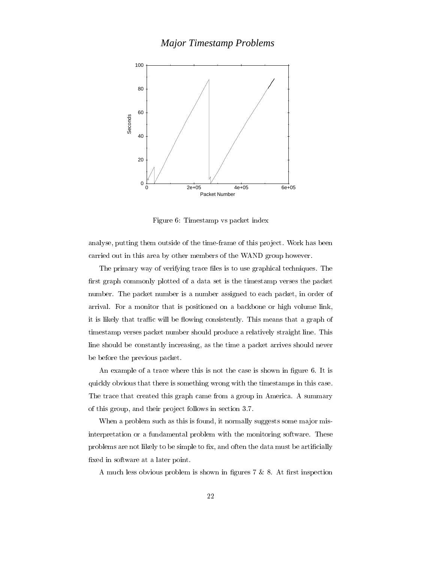# *Major Timestamp Problems*



Figure 6: Timestamp vs packet index

analyse, putting them outside of the time-frame of this project. Work has been carried out in this area by other members of the WAND group however.

The primary way of verifying trace files is to use graphical techniques. The first graph commonly plotted of a data set is the timestamp verses the packet number. The packet number is a number assigned to each packet, in order of arrival. For a monitor that is positioned on a backbone or high volume link, it is likely that traffic will be flowing consistently. This means that a graph of timestamp verses packet number should produce a relatively straight line. This line should be constantly increasing, as the time a packet arrives should never be before the previous packet.

An example of a trace where this is not the case is shown in figure 6. It is quickly obvious that there is something wrong with the timestamps in this case. The trace that created this graph came from a group in America. A summary of this group, and their pro ject follows in section 3.7.

When a problem such as this is found, it normally suggests some major misinterpretation or a fundamental problem with the monitoring software. These problems are not likely to be simple to fix, and often the data must be artificially fixed in software at a later point.

A much less obvious problem is shown in figures  $7 \& 8$ . At first inspection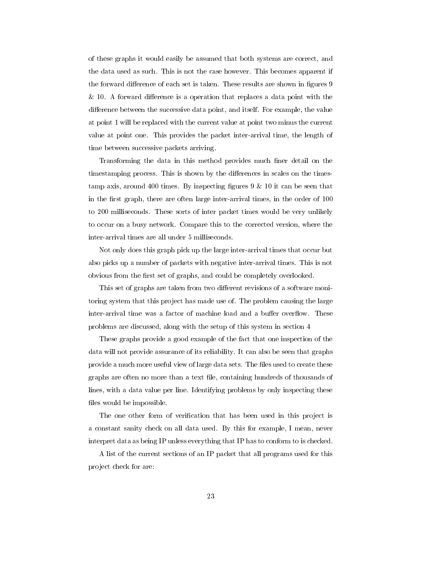of these graphs it would easily be assumed that both systems are correct, and the data used as such. This is not the case however. This becomes apparent if the forward difference of each set is taken. These results are shown in figures 9  $& 10.$  A forward difference is a operation that replaces a data point with the difference between the successive data point, and itself. For example, the value at point 1 will be replaced with the current value at point two minus the current value at point one. This provides the packet inter-arrival time, the length of time between successive packets arriving.

Transforming the data in this method provides much finer detail on the timestamping process. This is shown by the differences in scales on the timestamp axis, around 400 times. By inspecting figures  $9 \& 10$  it can be seen that in the first graph, there are often large inter-arrival times, in the order of 100 to 200 milliseconds. These sorts of inter packet times would be very unlikely to occur on a busy network. Compare this to the corrected version, where the inter-arrival times are all under 5 milliseconds.

Not only does this graph pick up the large inter-arrival times that occur but also picks up a number of packets with negative inter-arrival times. This is not obvious from the first set of graphs, and could be completely overlooked.

This set of graphs are taken from two different revisions of a software monitoring system that this project has made use of. The problem causing the large inter-arrival time was a factor of machine load and a buffer overflow. These problems are discussed, along with the setup of this system in section 4

These graphs provide a good example of the fact that one inspection of the data will not provide assurance of its reliability. It can also be seen that graphs provide a much more useful view of large data sets. The files used to create these graphs are often no more than a text le, containing hundreds of thousands of lines, with a data value per line. Identifying problems by only inspecting these files would be impossible.

The one other form of verification that has been used in this project is a constant sanity check on all data used. By this for example, I mean, never interpret data as being IP unless everything that IP has to conform to is checked.

A list of the current sections of an IP packet that all programs used for this pro ject check for are: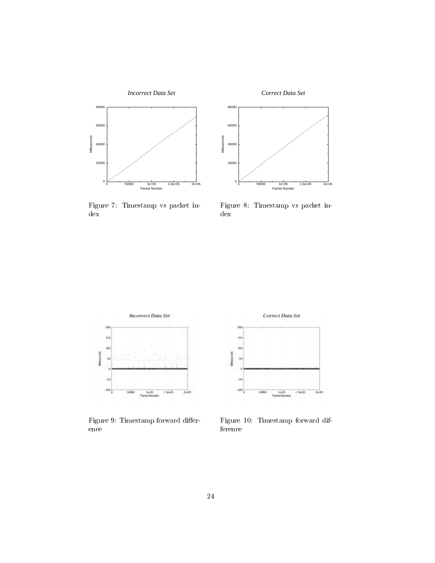

*Correct Data Set*



Figure 7: Timestamp vs packet index

Figure 8: Timestamp vs packet index



Figure 9: Timestamp forward difference



Figure 10: Timestamp forward difference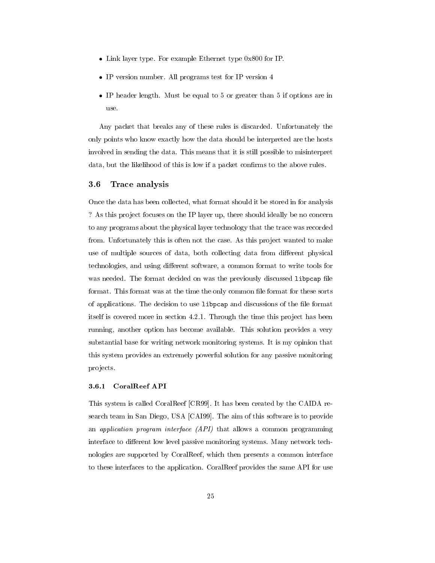- Link layer type. For example Ethernet type 0x800 for IP.
- IP version number. All programs test for IP version 4
- IP header length. Must be equal to 5 or greater than 5 if options are in use.

Any packet that breaks any of these rules is discarded. Unfortunately the only points who know exactly how the data should be interpreted are the hosts involved in sending the data. This means that it is still possible to misinterpret data, but the likelihood of this is low if a packet conrms to the above rules.

### 3.6 Trace analysis

Once the data has been collected, what format should it be stored in for analysis ? As this project focuses on the IP layer up, there should ideally be no concern to any programs about the physical layer technology that the trace was recorded from. Unfortunately this is often not the case. As this project wanted to make use of multiple sources of data, both collecting data from different physical technologies, and using different software, a common format to write tools for was needed. The format decided on was the previously discussed libpcap file format. This format was at the time the only common file format for these sorts of applications. The decision to use libpcap and discussions of the file format itself is covered more in section 4.2.1. Through the time this project has been running, another option has become available. This solution provides a very substantial base for writing network monitoring systems. It is my opinion that this system provides an extremely powerful solution for any passive monitoring pro jects.

### 3.6.1 CoralReef API

This system is called CoralReef [CR99]. It has been created by the CAIDA research team in San Diego, USA [CAI99]. The aim of this software is to provide an application program interface (API) that allows a common programming interface to different low level passive monitoring systems. Many network technologies are supported by CoralReef, which then presents a common interface to these interfaces to the application. CoralReef provides the same API for use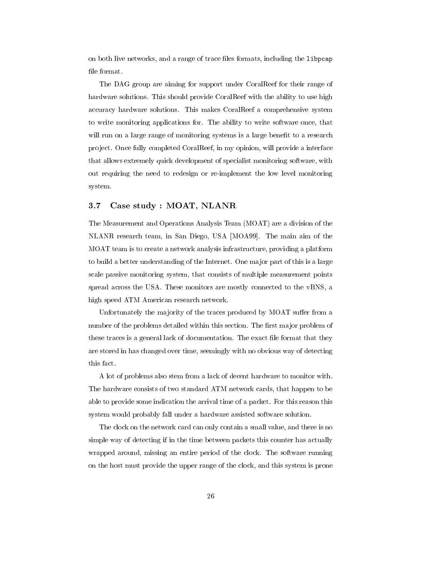on both live networks, and a range of trace files formats, including the libpcap file format.

The DAG group are aiming for support under CoralReef for their range of hardware solutions. This should provide CoralReef with the ability to use high accuracy hardware solutions. This makes CoralReef a comprehensive system to write monitoring applications for. The ability to write software once, that will run on a large range of monitoring systems is a large benefit to a research project. Once fully completed CoralReef, in my opinion, will provide a interface that allows extremely quick development of specialist monitoring software, with out requiring the need to redesign or re-implement the low level monitoring system.

### 3.7 Case study : MOAT, NLANR

The Measurement and Operations Analysis Team (MOAT) are a division of the NLANR research team, in San Diego, USA [MOA99]. The main aim of the MOAT team is to create a network analysis infrastructure, providing a platform to build a better understanding of the Internet. One ma jor part of this is a large scale passive monitoring system, that consists of multiple measurement points spread across the USA. These monitors are mostly connected to the vBNS, a high speed ATM American research network.

Unfortunately the majority of the traces produced by MOAT suffer from a number of the problems detailed within this section. The first major problem of these traces is a general lack of documentation. The exact file format that they are stored in has changed over time, seemingly with no obvious way of detecting this fact.

A lot of problems also stem from a lack of decent hardware to monitor with. The hardware consists of two standard ATM network cards, that happen to be able to provide some indication the arrival time of a packet. For this reason this system would probably fall under a hardware assisted software solution.

The clock on the network card can only contain a small value, and there is no simple way of detecting if in the time between packets this counter has actually wrapped around, missing an entire period of the clock. The software running on the host must provide the upper range of the clock, and this system is prone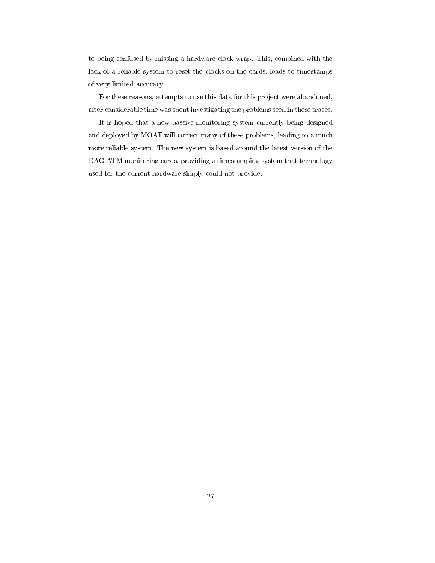to being confused by missing a hardware clock wrap. This, combined with the lack of a reliable system to reset the clocks on the cards, leads to timestamps of very limited accuracy.

For these reasons, attempts to use this data for this project were abandoned, after considerable time was spent investigating the problems seen in these traces.

It is hoped that a new passive monitoring system currently being designed and deployed by MOAT will correct many of these problems, leading to a much more reliable system. The new system is based around the latest version of the DAG ATM monitoring cards, providing a timestamping system that technology used for the current hardware simply could not provide.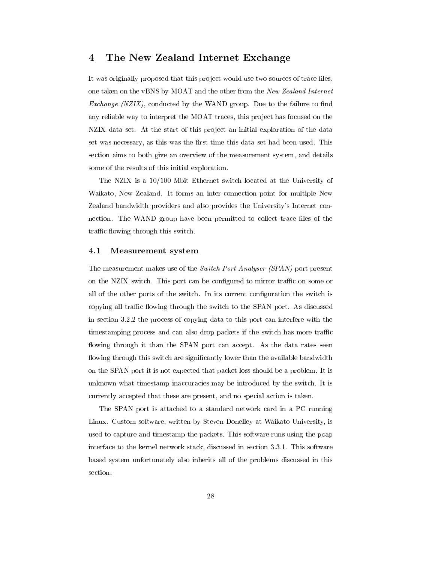#### The New Zealand Internet Exchange  $\overline{4}$

It was originally proposed that this project would use two sources of trace files, one taken on the vBNS by MOAT and the other from the New Zealand Internet Exchange  $(NZIX)$ , conducted by the WAND group. Due to the failure to find any reliable way to interpret the MOAT traces, this project has focused on the NZIX data set. At the start of this project an initial exploration of the data set was necessary, as this was the first time this data set had been used. This section aims to both give an overview of the measurement system, and details some of the results of this initial exploration.

The NZIX is a 10/100 Mbit Ethernet switch located at the University of Waikato, New Zealand. It forms an inter-connection point for multiple New Zealand bandwidth providers and also provides the University's Internet connection. The WAND group have been permitted to collect trace files of the traffic flowing through this switch.

#### 4.1 Measurement system

The measurement makes use of the Switch Port Analyser (SPAN) port present on the NZIX switch. This port can be configured to mirror traffic on some or all of the other ports of the switch. In its current conguration the switch is copying all traffic flowing through the switch to the SPAN port. As discussed in section 3.2.2 the process of copying data to this port can interfere with the timestamping process and can also drop packets if the switch has more traffic flowing through it than the SPAN port can accept. As the data rates seen flowing through this switch are significantly lower than the available bandwidth on the SPAN port it is not expected that packet loss should be a problem. It is unknown what timestamp inaccuracies may be introduced by the switch. It is currently accepted that these are present, and no special action is taken.

The SPAN port is attached to a standard network card in a PC running Linux. Custom software, written by Steven Donelley at Waikato University, is used to capture and timestamp the packets. This software runs using the pcap interface to the kernel network stack, discussed in section 3.3.1. This software based system unfortunately also inherits all of the problems discussed in this section.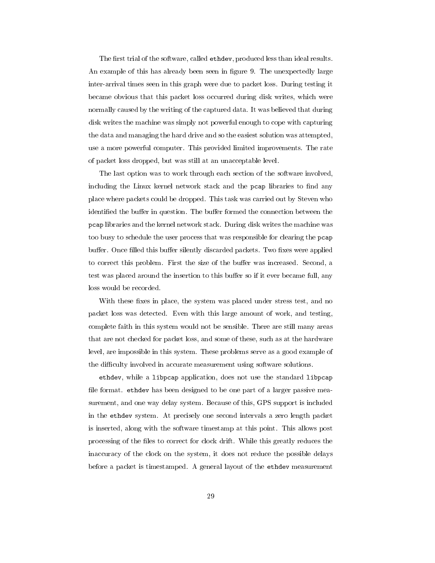The first trial of the software, called ethdev, produced less than ideal results. An example of this has already been seen in figure 9. The unexpectedly large inter-arrival times seen in this graph were due to packet loss. During testing it became obvious that this packet loss occurred during disk writes, which were normally caused by the writing of the captured data. It was believed that during disk writes the machine was simply not powerful enough to cope with capturing the data and managing the hard drive and so the easiest solution was attempted, use a more powerful computer. This provided limited improvements. The rate of packet loss dropped, but was still at an unacceptable level.

The last option was to work through each section of the software involved, including the Linux kernel network stack and the pcap libraries to find any place where packets could be dropped. This task was carried out by Steven who identified the buffer in question. The buffer formed the connection between the pcap libraries and the kernel network stack. During disk writes the machine was too busy to schedule the user process that was responsible for clearing the pcap buffer. Once filled this buffer silently discarded packets. Two fixes were applied to correct this problem. First the size of the buffer was increased. Second, a test was placed around the insertion to this buffer so if it ever became full, any loss would be recorded.

With these fixes in place, the system was placed under stress test, and no packet loss was detected. Even with this large amount of work, and testing, complete faith in this system would not be sensible. There are still many areas that are not checked for packet loss, and some of these, such as at the hardware level, are impossible in this system. These problems serve as a good example of the difficulty involved in accurate measurement using software solutions.

ethdev, while a libpcap application, does not use the standard libpcap file format. ethdev has been designed to be one part of a larger passive measurement, and one way delay system. Because of this, GPS support is included in the ethdev system. At precisely one second intervals a zero length packet is inserted, along with the software timestamp at this point. This allows post processing of the files to correct for clock drift. While this greatly reduces the inaccuracy of the clock on the system, it does not reduce the possible delays before a packet is timestamped. A general layout of the ethdev measurement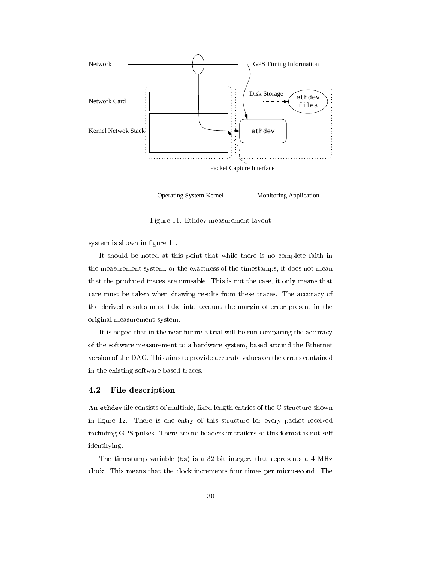

Operating System Kernel Monitoring Application

Figure 11: Ethdev measurement layout

system is shown in figure 11.

It should be noted at this point that while there is no complete faith in the measurement system, or the exactness of the timestamps, it does not mean that the produced traces are unusable. This is not the case, it only means that care must be taken when drawing results from these traces. The accuracy of the derived results must take into account the margin of error present in the original measurement system.

It is hoped that in the near future a trial will be run comparing the accuracy of the software measurement to a hardware system, based around the Ethernet version of the DAG. This aims to provide accurate values on the errors contained in the existing software based traces.

#### 4.2 File description

An ethdev file consists of multiple, fixed length entries of the C structure shown in figure 12. There is one entry of this structure for every packet received including GPS pulses. There are no headers or trailers so this format is not self identifying.

The timestamp variable (ts) is a 32 bit integer, that represents a 4 MHz clock. This means that the clock increments four times per microsecond. The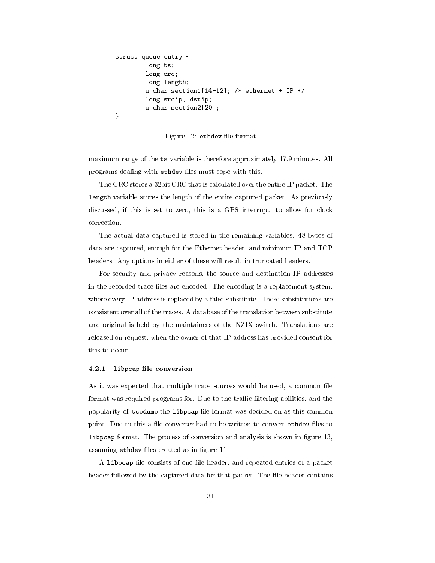```
struct queue entry {
        long ts;
        long crc;
        long length;
        u_char section1[14+12]; /* ethernet + IP */
        long srcip, dstip;
        u_char section2[20];
}
```
Figure 12: ethdev file format

maximum range of the ts variable is therefore approximately 17.9 minutes. All programs dealing with ethdev files must cope with this.

The CRC stores a 32bit CRC that is calculated over the entire IP packet. The length variable stores the length of the entire captured packet. As previously discussed, if this is set to zero, this is a GPS interrupt, to allow for clock correction.

The actual data captured is stored in the remaining variables. 48 bytes of data are captured, enough for the Ethernet header, and minimum IP and TCP headers. Any options in either of these will result in truncated headers.

For security and privacy reasons, the source and destination IP addresses in the recorded trace files are encoded. The encoding is a replacement system, where every IP address is replaced by a false substitute. These substitutions are consistent over all of the traces. A database of the translation between substitute and original is held by the maintainers of the NZIX switch. Translations are released on request, when the owner of that IP address has provided consent for this to occur.

### 4.2.1 libpcap file conversion

As it was expected that multiple trace sources would be used, a common file format was required programs for. Due to the traffic filtering abilities, and the popularity of tcpdump the libpcap file format was decided on as this common point. Due to this a file converter had to be written to convert ethdev files to libpcap format. The process of conversion and analysis is shown in figure 13, assuming ethdev files created as in figure 11.

A libpcap file consists of one file header, and repeated entries of a packet header followed by the captured data for that packet. The file header contains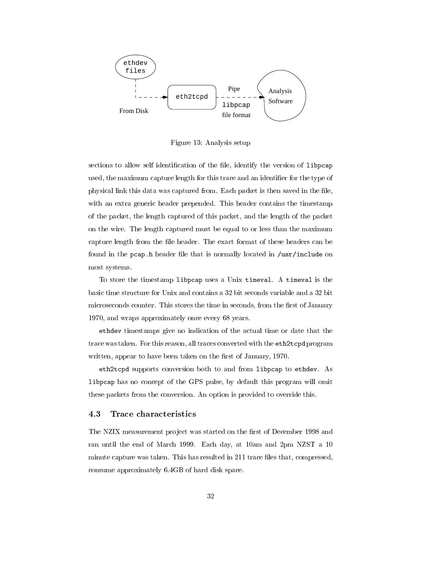

Figure 13: Analysis setup

sections to allow self identification of the file, identify the version of libpcap used, the maximum capture length for this trace and an identifier for the type of physical link this data was captured from. Each packet is then saved in the file, with an extra generic header prepended. This header contains the timestamp of the packet, the length captured of this packet, and the length of the packet on the wire. The length captured must be equal to or less than the maximum capture length from the file header. The exact format of these headers can be found in the pcap.h header file that is normally located in /usr/include on most systems.

To store the timestamp libpcap uses a Unix timeval. A timeval is the basic time structure for Unix and contains a 32 bit seconds variable and a 32 bit microseconds counter. This stores the time in seconds, from the first of January 1970, and wraps approximately once every 68 years.

ethdev timestamps give no indication of the actual time or date that the trace was taken. For this reason, all traces converted with the eth2tcpd program written, appear to have been taken on the first of January, 1970.

eth2tcpd supports conversion both to and from libpcap to ethdev. As libpcap has no concept of the GPS pulse, by default this program will omit these packets from the conversion. An option is provided to override this.

### 4.3 Trace characteristics

The NZIX measurement project was started on the first of December 1998 and ran until the end of March 1999. Each day, at 10am and 2pm NZST a 10 minute capture was taken. This has resulted in 211 trace files that, compressed, consume approximately 6.4GB of hard disk space.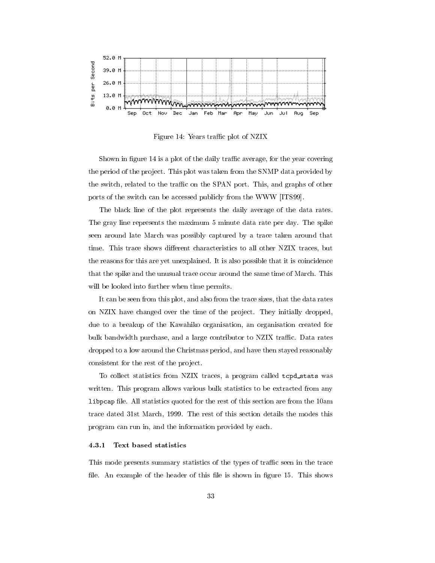

Figure 14: Years traffic plot of NZIX

Shown in figure 14 is a plot of the daily traffic average, for the year covering the period of the project. This plot was taken from the SNMP data provided by the switch, related to the traffic on the SPAN port. This, and graphs of other ports of the switch can be accessed publicly from the WWW [ITS99].

The black line of the plot represents the daily average of the data rates. The gray line represents the maximum 5 minute data rate per day. The spike seen around late March was possibly captured by a trace taken around that time. This trace shows different characteristics to all other NZIX traces, but the reasons for this are yet unexplained. It is also possible that it is coincidence that the spike and the unusual trace occur around the same time of March. This will be looked into further when time permits.

It can be seen from this plot, and also from the trace sizes, that the data rates on NZIX have changed over the time of the project. They initially dropped, due to a breakup of the Kawahiko organisation, an organisation created for bulk bandwidth purchase, and a large contributor to NZIX traffic. Data rates dropped to a low around the Christmas period, and have then stayed reasonably consistent for the rest of the project.

To collect statistics from NZIX traces, <sup>a</sup> program called tcpd stats was written. This program allows various bulk statistics to be extracted from any libpcap le.All statistics quoted for the rest of this section are from the 10am trace dated 31st March, 1999. The rest of this section details the modes this program can run in, and the information provided by each.

#### Text based statistics  $4.3.1$

This mode presents summary statistics of the types of traffic seen in the trace file. An example of the header of this file is shown in figure 15. This shows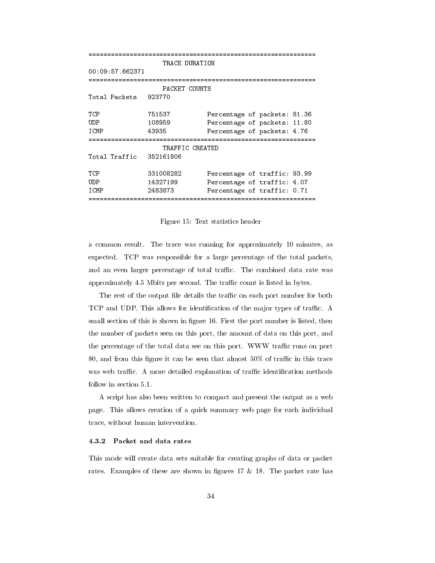```
=============================================================
                TRACE DURATION
00:09:57.662371=============================================================
                PACKET COUNTS
Total Packets 923770
TCP
             751537 Percentage of packets: 81.36
UDP
             108959
                          Percentage of packets: 11.80
ICMP
             43935
                          Percentage of packets: 4.76
TRAFFIC CREATED
Total Traffic 352161806
TCP
             331008282
                          Percentage of traffic: 93.99
UDP 14327199 Percentage of traffic: 4.07
ICMP 2483873 Percentage of traffic: 0.71
=============================================================
```
Figure 15: Text statistics header

a common result. The trace was running for approximately 10 minutes, as expected. TCP was responsible for a large percentage of the total packets, and an even larger percentage of total traffic. The combined data rate was approximately 4.5 Mbits per second. The traffic count is listed in bytes.

The rest of the output file details the traffic on each port number for both TCP and UDP. This allows for identification of the major types of traffic. A small section of this is shown in figure 16. First the port number is listed, then the number of packets seen on this port, the amount of data on this port, and the percentage of the total data see on this port. WWW traffic runs on port 80, and from this figure it can be seen that almost  $50\%$  of traffic in this trace was web traffic. A more detailed explanation of traffic identification methods follow in section 5.1.

A script has also been written to compact and present the output as a web page. This allows creation of a quick summary web page for each individual trace, without human intervention.

This mode will create data sets suitable for creating graphs of data or packet rates. Examples of these are shown in figures 17  $\&$  18. The packet rate has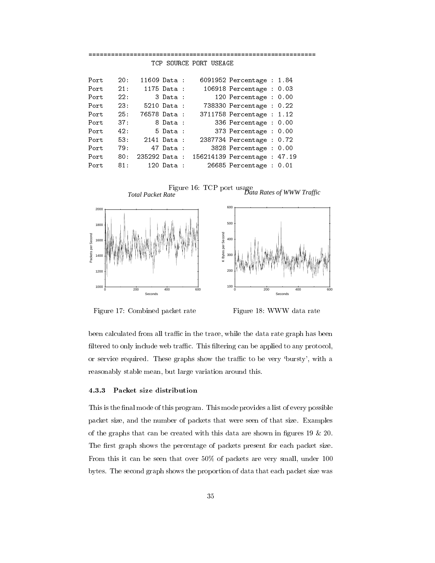| Port |      | 20: 11609 Data:  |             |          | 6091952 Percentage : 1.84                 |  |
|------|------|------------------|-------------|----------|-------------------------------------------|--|
| Port |      | 21: 1175 Data :  |             |          | 106918 Percentage : 0.03                  |  |
| Port | 22:  |                  | 3 Data :    |          | 120 Percentage : $0.00$                   |  |
| Port | 23:  |                  | 5210 Data : |          | 738330 Percentage : 0.22                  |  |
| Port |      | 25: 76578 Data : |             |          | 3711758 Percentage : 1.12                 |  |
| Port | 37 : |                  |             | 8 Data : | 336 Percentage : 0.00                     |  |
| Port | 42:  |                  |             |          | 5 Data: 373 Percentage: 0.00              |  |
| Port |      |                  |             |          | 53: 2141 Data : 2387734 Percentage : 0.72 |  |
| Port |      | 79: 47 Data :    |             |          | 3828 Percentage : 0.00                    |  |
| Port | 80:  |                  |             |          | 235292 Data: 156214139 Percentage: 47.19  |  |
| Port |      | 81: 120 Data :   |             |          | 26685 Percentage : 0.01                   |  |



Figure 17: Combined packet rate

Figure 18: WWW data rate

been calculated from all traffic in the trace, while the data rate graph has been filtered to only include web traffic. This filtering can be applied to any protocol, or service required. These graphs show the traffic to be very 'bursty', with a reasonably stable mean, but large variation around this.

### 4.3.3 Packet size distribution

This is the final mode of this program. This mode provides a list of every possible packet size, and the number of packets that were seen of that size. Examples of the graphs that can be created with this data are shown in figures 19  $\&$  20. The first graph shows the percentage of packets present for each packet size. From this it can be seen that over 50% of packets are very small, under 100 bytes. The second graph shows the proportion of data that each packet size was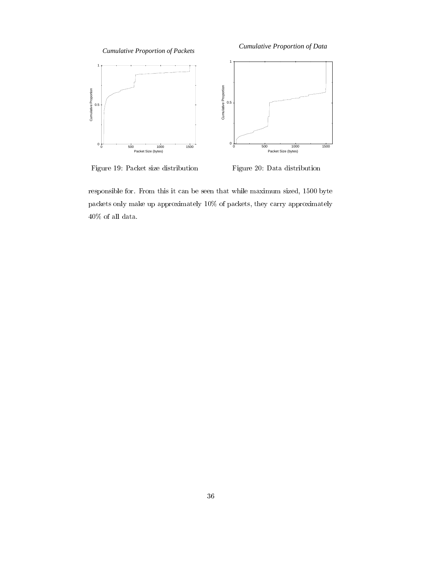*Cumulative Proportion of Packets*

*Cumulative Proportion of Data*



Figure 19: Packet size distribution

Figure 20: Data distribution

responsible for. From this it can be seen that while maximum sized, 1500 byte packets only make up approximately 10% of packets, they carry approximately  $40\%$  of all data.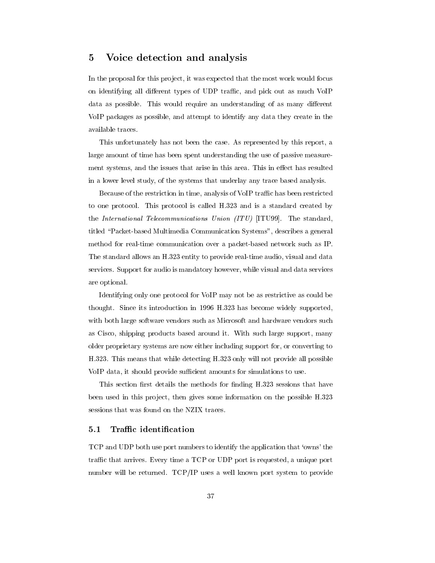## 5 Voice detection and analysis

In the proposal for this project, it was expected that the most work would focus on identifying all different types of UDP traffic, and pick out as much VoIP data as possible. This would require an understanding of as many different VoIP packages as possible, and attempt to identify any data they create in the available traces.

This unfortunately has not been the case. As represented by this report, a large amount of time has been spent understanding the use of passive measurement systems, and the issues that arise in this area. This in effect has resulted in a lower level study, of the systems that underlay any trace based analysis.

Because of the restriction in time, analysis of VoIP traffic has been restricted to one protocol. This protocol is called H.323 and is a standard created by the International Telecommunications Union (ITU) [ITU99]. The standard, titled "Packet-based Multimedia Communication Systems", describes a general method for real-time communication over a packet-based network such as IP. The standard allows an H.323 entity to provide real-time audio, visual and data services. Support for audio is mandatory however, while visual and data services are optional.

Identifying only one protocol for VoIP may not be as restrictive as could be thought. Since its introduction in 1996 H.323 has become widely supported, with both large software vendors such as Microsoft and hardware vendors such as Cisco, shipping products based around it. With such large support, many older proprietary systems are now either including support for, or converting to H.323. This means that while detecting H.323 only will not provide all possible VoIP data, it should provide sufficient amounts for simulations to use.

This section first details the methods for finding H.323 sessions that have been used in this project, then gives some information on the possible H.323 sessions that was found on the NZIX traces.

#### $5.1$ Traffic identification

TCP and UDP both use port numbers to identify the application that `owns' the traffic that arrives. Every time a TCP or UDP port is requested, a unique port number will be returned. TCP/IP uses a well known port system to provide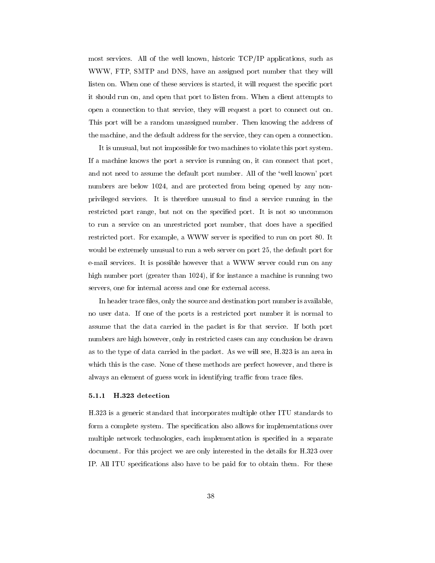most services. All of the well known, historic TCP/IP applications, such as WWW, FTP, SMTP and DNS, have an assigned port number that they will listen on. When one of these services is started, it will request the specic port it should run on, and open that port to listen from. When a client attempts to open a connection to that service, they will request a port to connect out on. This port will be a random unassigned number. Then knowing the address of the machine, and the default address for the service, they can open a connection.

It is unusual, but not impossible for two machines to violate this port system. If a machine knows the port a service is running on, it can connect that port, and not need to assume the default port number. All of the `well known' port numbers are below 1024, and are protected from being opened by any nonprivileged services. It is therefore unusual to find a service running in the restricted port range, but not on the specied port. It is not so uncommon to run a service on an unrestricted port number, that does have a specied restricted port. For example, a WWW server is specified to run on port 80. It would be extremely unusual to run a web server on port 25, the default port for e-mail services. It is possible however that a WWW server could run on any high number port (greater than 1024), if for instance a machine is running two servers, one for internal access and one for external access.

In header trace files, only the source and destination port number is available, no user data. If one of the ports is a restricted port number it is normal to assume that the data carried in the packet is for that service. If both port numbers are high however, only in restricted cases can any conclusion be drawn as to the type of data carried in the packet. As we will see, H.323 is an area in which this is the case. None of these methods are perfect however, and there is always an element of guess work in identifying traffic from trace files.

### 5.1.1 H.323 detection

H.323 is a generic standard that incorporates multiple other ITU standards to form a complete system. The specification also allows for implementations over multiple network technologies, each implementation is specified in a separate document. For this project we are only interested in the details for H.323 over IP. All ITU specications also have to be paid for to obtain them. For these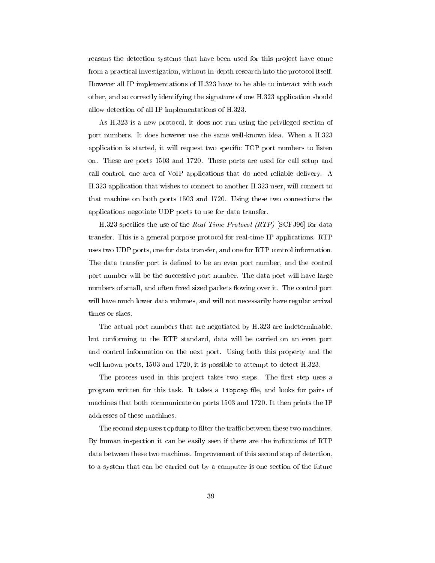reasons the detection systems that have been used for this project have come from a practical investigation, without in-depth research into the protocol itself. However all IP implementations of H.323 have to be able to interact with each other, and so correctly identifying the signature of one H.323 application should allow detection of all IP implementations of H.323.

As H.323 is a new protocol, it does not run using the privileged section of port numbers. It does however use the same well-known idea. When a H.323 application is started, it will request two specific TCP port numbers to listen on. These are ports 1503 and 1720. These ports are used for call setup and call control, one area of VoIP applications that do need reliable delivery. A H.323 application that wishes to connect to another H.323 user, will connect to that machine on both ports 1503 and 1720. Using these two connections the applications negotiate UDP ports to use for data transfer.

H.323 specifies the use of the Real Time Protocol (RTP) [SCFJ96] for data transfer. This is a general purpose protocol for real-time IP applications. RTP uses two UDP ports, one for data transfer, and one for RTP control information. The data transfer port is defined to be an even port number, and the control port number will be the successive port number. The data port will have large numbers of small, and often fixed sized packets flowing over it. The control port will have much lower data volumes, and will not necessarily have regular arrival times or sizes.

The actual port numbers that are negotiated by H.323 are indeterminable, but conforming to the RTP standard, data will be carried on an even port and control information on the next port. Using both this property and the well-known ports, 1503 and 1720, it is possible to attempt to detect H.323.

The process used in this project takes two steps. The first step uses a program written for this task. It takes a libpcap file, and looks for pairs of machines that both communicate on ports 1503 and 1720. It then prints the IP addresses of these machines.

The second step uses tcpdump to filter the traffic between these two machines. By human inspection it can be easily seen if there are the indications of RTP data between these two machines. Improvement of this second step of detection, to a system that can be carried out by a computer is one section of the future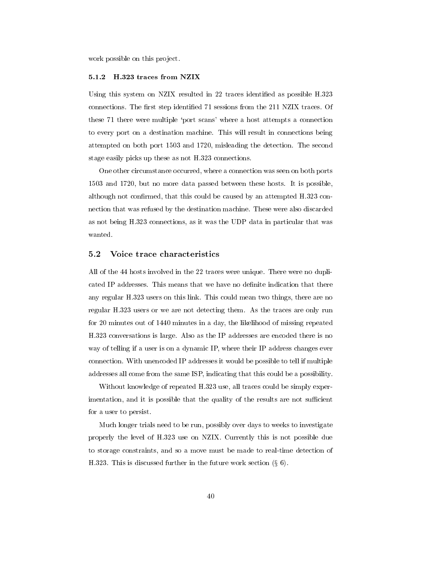work possible on this project.

#### 5.1.2 H.323 traces from NZIX

Using this system on NZIX resulted in 22 traces identified as possible H.323 connections. The first step identified 71 sessions from the 211 NZIX traces. Of these 71 there were multiple `port scans' where a host attempts a connection to every port on a destination machine. This will result in connections being attempted on both port 1503 and 1720, misleading the detection. The second stage easily picks up these as not H.323 connections.

One other circumstance occurred, where a connection was seen on both ports 1503 and 1720, but no more data passed between these hosts. It is possible, although not confirmed, that this could be caused by an attempted  $H.323$  connection that was refused by the destination machine. These were also discarded as not being H.323 connections, as it was the UDP data in particular that was wanted.

### 5.2 Voice trace characteristics

All of the 44 hosts involved in the 22 traces were unique. There were no duplicated IP addresses. This means that we have no definite indication that there any regular H.323 users on this link. This could mean two things, there are no regular H.323 users or we are not detecting them. As the traces are only run for 20 minutes out of 1440 minutes in a day, the likelihood of missing repeated H.323 conversations is large. Also as the IP addresses are encoded there is no way of telling if a user is on a dynamic IP, where their IP address changes ever connection. With unencoded IP addresses it would be possible to tell if multiple addresses all come from the same ISP, indicating that this could be a possibility.

Without knowledge of repeated H.323 use, all traces could be simply experimentation, and it is possible that the quality of the results are not sufficient for a user to persist.

Much longer trials need to be run, possibly over days to weeks to investigate properly the level of H.323 use on NZIX. Currently this is not possible due to storage constraints, and so a move must be made to real-time detection of H.323. This is discussed further in the future work section  $(\S 6)$ .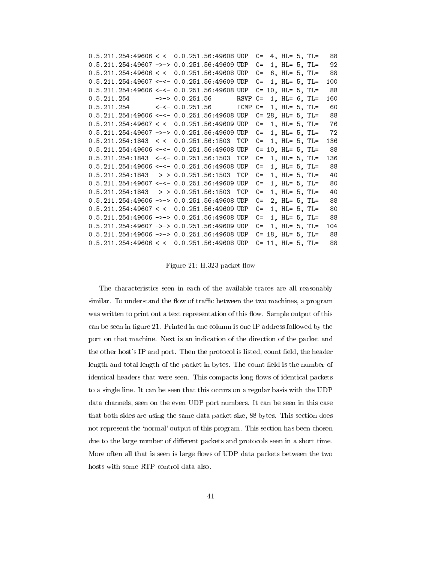| $0.5.211.254:49606$ <-<- 0.0.251.56:49608 UDP C= 4, HL= 5, TL= 88                   |  |  |  |  |  |
|-------------------------------------------------------------------------------------|--|--|--|--|--|
| $0.5.211.254:49607$ ->-> 0.0.251.56:49609 UDP C= 1, HL= 5, TL= 92                   |  |  |  |  |  |
| $0.5.211.254:49606$ <-<- 0.0.251.56:49608 UDP C= 6, HL= 5, TL= 88                   |  |  |  |  |  |
| $0.5.211.254:49607$ <-<- 0.0.251.56:49609 UDP C= 1, HL= 5, TL= 100                  |  |  |  |  |  |
| $0.5.211.254:49606$ <-<- 0.0.251.56:49608 UDP C= 10, HL= 5, TL= 88                  |  |  |  |  |  |
| $0.5.211.254$ ->-> 0.0.251.56 RSVP C= 1, HL= 6, TL= 160                             |  |  |  |  |  |
| $0.5.211.254$ $\leftarrow$ < - 0.0.251.56 ICMP C= 1, HL= 5, TL= 60                  |  |  |  |  |  |
| $0.5.211.254:49606$ <-<- 0.0.251.56:49608 UDP C= 28, HL= 5, TL= 88                  |  |  |  |  |  |
| $0.5.211.254:49607$ <-<- 0.0.251.56:49609 UDP C= 1, HL= 5, TL= 76                   |  |  |  |  |  |
| $0.5.211.254:49607$ ->-> $0.0.251.56:49609$ UDP C= 1, HL= 5, TL= 72                 |  |  |  |  |  |
| $0.5.211.254:1843$ $\lt$ $\lt$ $\lt$ $\lt$ 0.0.251.56:1503 TCP C= 1, HL= 5, TL= 136 |  |  |  |  |  |
| $0.5.211.254:49606$ <-<- 0.0.251.56:49608 UDP C= 10, HL= 5, TL= 88                  |  |  |  |  |  |
| $0.5.211.254:1843$ <-<- 0.0.251.56:1503 TCP C= 1, HL= 5, TL= 136                    |  |  |  |  |  |
| $0.5.211.254:49606$ <-<- 0.0.251.56:49608 UDP C= 1, HL= 5, TL= 88                   |  |  |  |  |  |
| $0.5.211.254:1843$ ->-> $0.0.251.56:1503$ TCP C= 1, HL= 5, TL= 40                   |  |  |  |  |  |
| $0.5.211.254:49607$ <-<- 0.0.251.56:49609 UDP C= 1, HL= 5, TL= 80                   |  |  |  |  |  |
| $0.5.211.254:1843$ ->-> $0.0.251.56:1503$ TCP C= 1, HL= 5, TL= 40                   |  |  |  |  |  |
| $0.5.211.254:49606$ ->-> 0.0.251.56:49608 UDP C= 2, HL= 5, TL= 88                   |  |  |  |  |  |
| $0.5.211.254:49607$ <-<- 0.0.251.56:49609 UDP C= 1, HL= 5, TL= 80                   |  |  |  |  |  |
| $0.5.211.254:49606$ ->-> $0.0.251.56:49608$ UDP C= 1, HL= 5, TL= 88                 |  |  |  |  |  |
| $0.5.211.254:49607$ ->-> 0.0.251.56:49609 UDP C= 1, HL= 5, TL= 104                  |  |  |  |  |  |
| $0.5.211.254:49606$ ->-> 0.0.251.56:49608 UDP C= 18, HL= 5, TL= 88                  |  |  |  |  |  |
| $0.5.211.254:49606$ <-<- 0.0.251.56:49608 UDP C= 11, HL= 5, TL= 88                  |  |  |  |  |  |

Figure 21: H.323 packet flow

The characteristics seen in each of the available traces are all reasonably similar. To understand the flow of traffic between the two machines, a program was written to print out a text representation of this flow. Sample output of this can be seen in figure 21. Printed in one column is one IP address followed by the port on that machine. Next is an indication of the direction of the packet and the other host's IP and port. Then the protocol is listed, count field, the header length and total length of the packet in bytes. The count field is the number of identical headers that were seen. This compacts long flows of identical packets to a single line. It can be seen that this occurs on a regular basis with the UDP data channels, seen on the even UDP port numbers. It can be seen in this case that both sides are using the same data packet size, 88 bytes. This section does not represent the 'normal' output of this program. This section has been chosen due to the large number of different packets and protocols seen in a short time. More often all that is seen is large flows of UDP data packets between the two hosts with some RTP control data also.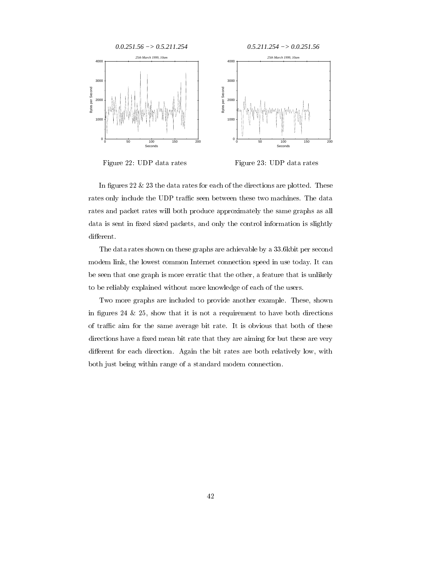

Figure 22: UDP data rates

Figure 23: UDP data rates

In figures 22  $& 23$  the data rates for each of the directions are plotted. These rates only include the UDP traffic seen between these two machines. The data rates and packet rates will both produce approximately the same graphs as all data is sent in fixed sized packets, and only the control information is slightly different.

The data rates shown on these graphs are achievable by a 33.6kbit per second modem link, the lowest common Internet connection speed in use today. It can be seen that one graph is more erratic that the other, a feature that is unlikely to be reliably explained without more knowledge of each of the users.

Two more graphs are included to provide another example. These, shown in figures 24  $\&$  25, show that it is not a requirement to have both directions of traffic aim for the same average bit rate. It is obvious that both of these directions have a fixed mean bit rate that they are aiming for but these are very different for each direction. Again the bit rates are both relatively low, with both just being within range of a standard modem connection.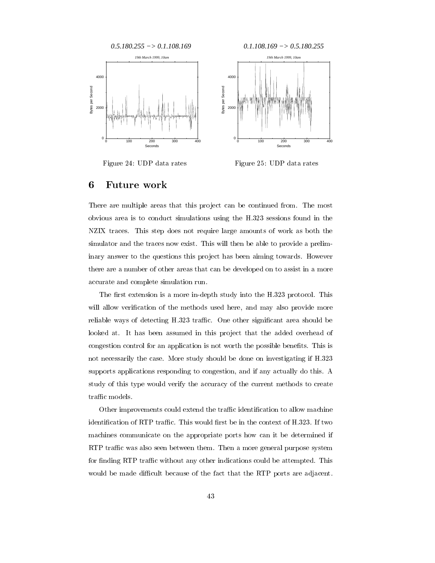

Figure 24: UDP data rates

Figure 25: UDP data rates

### 6 Future work

There are multiple areas that this project can be continued from. The most obvious area is to conduct simulations using the H.323 sessions found in the NZIX traces. This step does not require large amounts of work as both the simulator and the traces now exist. This will then be able to provide a preliminary answer to the questions this project has been aiming towards. However there are a number of other areas that can be developed on to assist in a more accurate and complete simulation run.

The first extension is a more in-depth study into the H.323 protocol. This will allow verification of the methods used here, and may also provide more reliable ways of detecting H.323 traffic. One other significant area should be looked at. It has been assumed in this project that the added overhead of congestion control for an application is not worth the possible benefits. This is not necessarily the case. More study should be done on investigating if H.323 supports applications responding to congestion, and if any actually do this. A study of this type would verify the accuracy of the current methods to create traffic models.

Other improvements could extend the traffic identification to allow machine identification of RTP traffic. This would first be in the context of H.323. If two machines communicate on the appropriate ports how can it be determined if RTP traffic was also seen between them. Then a more general purpose system for finding RTP traffic without any other indications could be attempted. This would be made difficult because of the fact that the RTP ports are adjacent.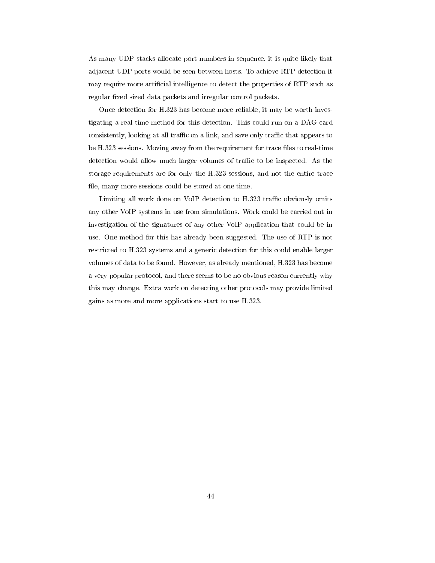As many UDP stacks allocate port numbers in sequence, it is quite likely that adjacent UDP ports would be seen between hosts. To achieve RTP detection it may require more articial intelligence to detect the properties of RTP such as regular fixed sized data packets and irregular control packets.

Once detection for H.323 has become more reliable, it may be worth investigating a real-time method for this detection. This could run on a DAG card consistently, looking at all traffic on a link, and save only traffic that appears to be H.323 sessions. Moving away from the requirement for trace files to real-time detection would allow much larger volumes of traffic to be inspected. As the storage requirements are for only the H.323 sessions, and not the entire trace file, many more sessions could be stored at one time.

Limiting all work done on VoIP detection to H.323 traffic obviously omits any other VoIP systems in use from simulations. Work could be carried out in investigation of the signatures of any other VoIP application that could be in use. One method for this has already been suggested. The use of RTP is not restricted to H.323 systems and a generic detection for this could enable larger volumes of data to be found. However, as already mentioned, H.323 has become a very popular protocol, and there seems to be no obvious reason currently why this may change. Extra work on detecting other protocols may provide limited gains as more and more applications start to use H.323.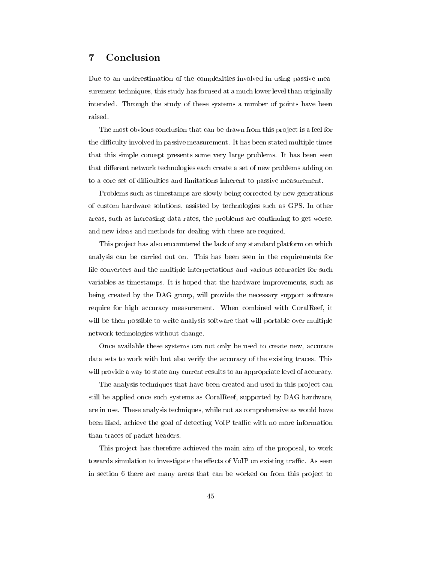#### $\overline{7}$ **Conclusion**

Due to an underestimation of the complexities involved in using passive measurement techniques, this study has focused at a much lower level than originally intended. Through the study of these systems a number of points have been raised.

The most obvious conclusion that can be drawn from this project is a feel for the difficulty involved in passive measurement. It has been stated multiple times that this simple concept presents some very large problems. It has been seen that different network technologies each create a set of new problems adding on to a core set of difficulties and limitations inherent to passive measurement.

Problems such as timestamps are slowly being corrected by new generations of custom hardware solutions, assisted by technologies such as GPS. In other areas, such as increasing data rates, the problems are continuing to get worse, and new ideas and methods for dealing with these are required.

This project has also encountered the lack of any standard platform on which analysis can be carried out on. This has been seen in the requirements for file converters and the multiple interpretations and various accuracies for such variables as timestamps. It is hoped that the hardware improvements, such as being created by the DAG group, will provide the necessary support software require for high accuracy measurement. When combined with CoralReef, it will be then possible to write analysis software that will portable over multiple network technologies without change.

Once available these systems can not only be used to create new, accurate data sets to work with but also verify the accuracy of the existing traces. This will provide a way to state any current results to an appropriate level of accuracy.

The analysis techniques that have been created and used in this project can still be applied once such systems as CoralReef, supported by DAG hardware, are in use. These analysis techniques, while not as comprehensive as would have been liked, achieve the goal of detecting VoIP traffic with no more information than traces of packet headers.

This project has therefore achieved the main aim of the proposal, to work towards simulation to investigate the effects of VoIP on existing traffic. As seen in section 6 there are many areas that can be worked on from this project to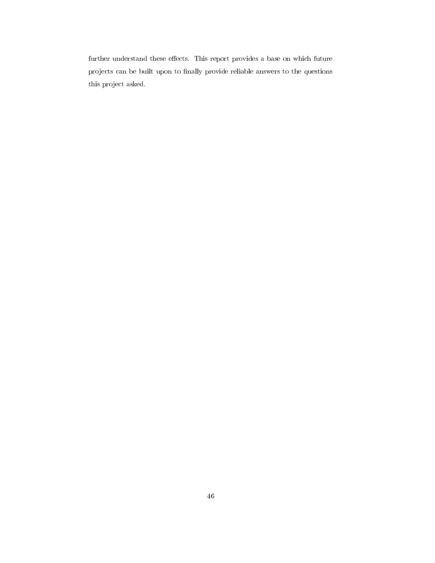further understand these effects. This report provides a base on which future projects can be built upon to finally provide reliable answers to the questions this project asked.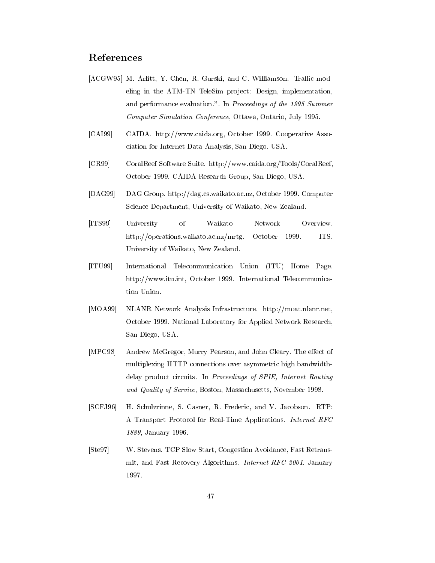# References

- [ACGW95] M. Arlitt, Y. Chen, R. Gurski, and C. Williamson. Traffic modeling in the ATM-TN TeleSim project: Design, implementation, and performance evaluation.". In Proceedings of the 1995 Summer Computer Simulation Conference, Ottawa, Ontario, July 1995.
- [CAI99] CAIDA. http://www.caida.org, October 1999. Cooperative Association for Internet Data Analysis, San Diego, USA.
- [CR99] CoralReef Software Suite. http://www.caida.org/Tools/CoralReef, October 1999. CAIDA Research Group, San Diego, USA.
- [DAG99] DAG Group. http://dag.cs.waikato.ac.nz, October 1999. Computer Science Department, University of Waikato, New Zealand.
- [ITS99] University of Waikato Network Overview. http://operations.waikato.ac.nz/mrtg, October 1999. ITS, University of Waikato, New Zealand.
- [ITU99] International Telecommunication Union (ITU) Home Page. http://www.itu.int, October 1999. International Telecommunication Union.
- [MOA99] NLANR Network Analysis Infrastructure. http://moat.nlanr.net, October 1999. National Laboratory for Applied Network Research, San Diego, USA.
- [MPC98] Andrew McGregor, Murry Pearson, and John Cleary. The effect of multiplexing HTTP connections over asymmetric high bandwidthdelay product circuits. In Proceedings of SPIE, Internet Routing and Quality of Service, Boston, Massachusetts, November 1998.
- [SCFJ96] H. Schulzrinne, S. Casner, R. Frederic, and V. Jacobson. RTP: A Transport Protocol for Real-Time Applications. Internet RFC 1889, January 1996.
- [Ste97] W. Stevens. TCP Slow Start, Congestion Avoidance, Fast Retransmit, and Fast Recovery Algorithms. Internet RFC 2001, January 1997.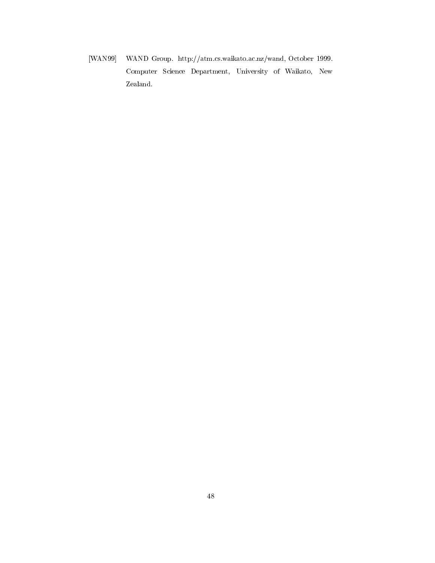[WAN99] WAND Group. http://atm.cs.waikato.ac.nz/wand, October 1999. Computer Science Department, University of Waikato, New Zealand.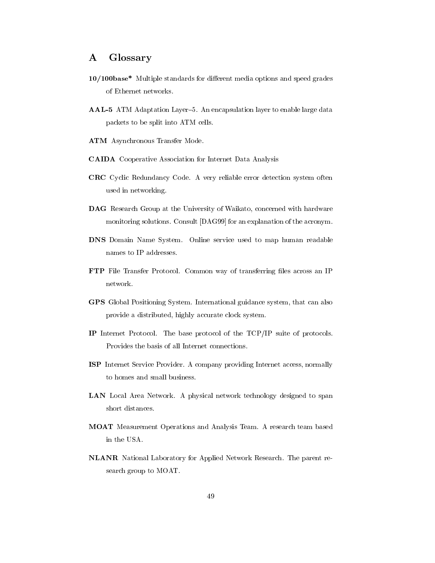#### **Glossary**  $\bf{A}$

- 10/100base\* Multiple standards for different media options and speed grades of Ethernet networks.
- AAL-5 ATM Adaptation Layer-5. An encapsulation layer to enable large data packets to be split into ATM cells.
- ATM Asynchronous Transfer Mode.
- CAIDA Cooperative Association for Internet Data Analysis
- CRC Cyclic Redundancy Code. A very reliable error detection system often used in networking.
- DAG Research Group at the University of Waikato, concerned with hardware monitoring solutions. Consult [DAG99] for an explanation of the acronym.
- DNS Domain Name System. Online service used to map human readable names to IP addresses.
- FTP File Transfer Protocol. Common way of transferring files across an IP
- GPS Global Positioning System. International guidance system, that can also provide a distributed, highly accurate clock system.
- IP Internet Protocol. The base protocol of the TCP/IP suite of protocols. Provides the basis of all Internet connections.
- ISP Internet Service Provider. A company providing Internet access, normally to homes and small business.
- LAN Local Area Network. A physical network technology designed to span short distances.
- MOAT Measurement Operations and Analysis Team. A research team based in the USA.
- NLANR National Laboratory for Applied Network Research. The parent research group to MOAT.